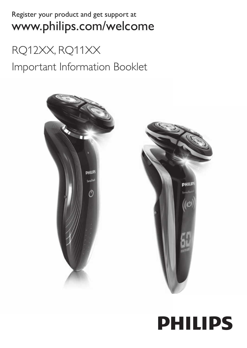# Register your product and get support at www.philips.com/welcome

# RQ12XX, RQ11XX

Important Information Booklet



# **PHILIPS**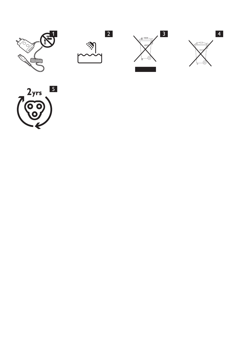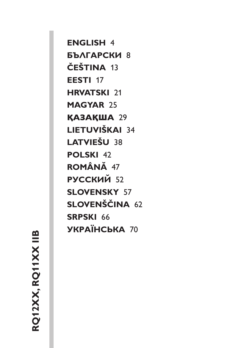**[Engl](#page-3-0) ish** 4 **[Български](#page-7-0)** 8 **[Čeština](#page-12-0)** 13 **[Eesti](#page-16-0)** 17 **HRVATSKI** 21 **[Magyar](#page-24-0)** 25 **[Қаза](#page-28-0) қша** 29 **[Lietuviškai](#page-33-0)** 34 **[Latviešu](#page-37-0)** 38 **Po [lski](#page-41-0)** 42 **R o [mână](#page-46-0)** 47 **[Русский](#page-51-0)** 52 **[Slovensky](#page-56-0)** 57 **[Slovenš](#page-61-0) čina** 62 **S r [pski](#page-65-0)** 66 **[Українська](#page-69-0)** 70

RQ12XX, RQ11XX IIB **RQ12XX, RQ11XX IIB**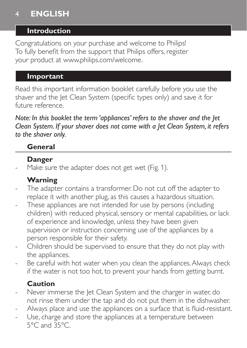#### <span id="page-3-0"></span>4 **English**

#### **Introduction**

Congratulations on your purchase and welcome to Philips! To fully benefit from the support that Philips offers, register your product at www.philips.com/welcome.

#### **Important**

Read this important information booklet carefully before you use the shaver and the Jet Clean System (specific types only) and save it for future reference.

*Note: In this booklet the term 'appliances' refers to the shaver and the Jet Clean System. If your shaver does not come with a Jet Clean System, it refers to the shaver only.*

#### **General**

#### **Danger**

Make sure the adapter does not get wet (Fig. 1).

### **Warning**

- The adapter contains a transformer. Do not cut off the adapter to replace it with another plug, as this causes a hazardous situation.
- These appliances are not intended for use by persons (including children) with reduced physical, sensory or mental capabilities, or lack of experience and knowledge, unless they have been given supervision or instruction concerning use of the appliances by a person responsible for their safety.
- Children should be supervised to ensure that they do not play with the appliances.
- Be careful with hot water when you clean the appliances. Always check if the water is not too hot, to prevent your hands from getting burnt.

### **Caution**

- Never immerse the Jet Clean System and the charger in water, do not rinse them under the tap and do not put them in the dishwasher.
- Always place and use the appliances on a surface that is fluid-resistant.
- Use, charge and store the appliances at a temperature between 5°C and 35°C.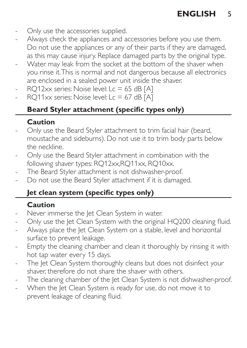- Only use the accessories supplied.
- Always check the appliances and accessories before you use them. Do not use the appliances or any of their parts if they are damaged, as this may cause injury. Replace damaged parts by the original type.
- Water may leak from the socket at the bottom of the shaver when you rinse it. This is normal and not dangerous because all electronics are enclosed in a sealed power unit inside the shaver.
- $RO12xx$  series: Noise level: Lc = 65 dB [A]
- $RO11xx$  series: Noise level: Lc = 67 dB  $\overline{[A]}$

#### **Beard Styler attachment (specific types only)**

### **Caution**

- Only use the Beard Styler attachment to trim facial hair (beard, moustache and sideburns). Do not use it to trim body parts below the neckline.
- Only use the Beard Styler attachment in combination with the following shaver types: RQ12xx, RQ11xx, RQ10xx.
- The Beard Styler attachment is not dishwasher-proof.
- Do not use the Beard Styler attachment if it is damaged.

### **Jet clean system (specific types only)**

### **Caution**

- Never immerse the Jet Clean System in water.
- Only use the Jet Clean System with the original HQ200 cleaning fluid.
- Always place the Jet Clean System on a stable, level and horizontal surface to prevent leakage.
- Empty the cleaning chamber and clean it thoroughly by rinsing it with hot tap water every 15 days.
- The Jet Clean System thoroughly cleans but does not disinfect your shaver, therefore do not share the shaver with others.
- The cleaning chamber of the Jet Clean System is not dishwasher-proof.
- When the Jet Clean System is ready for use, do not move it to prevent leakage of cleaning fluid.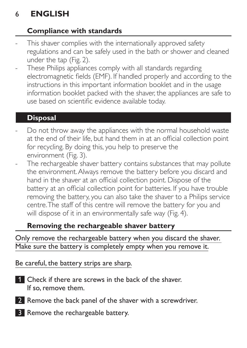### 6 **English**

#### **Compliance with standards**

- This shaver complies with the internationally approved safety regulations and can be safely used in the bath or shower and cleaned under the tap (Fig. 2).
- These Philips appliances comply with all standards regarding electromagnetic fields (EMF). If handled properly and according to the instructions in this important information booklet and in the usage information booklet packed with the shaver, the appliances are safe to use based on scientific evidence available today.

#### **Disposal**

- Do not throw away the appliances with the normal household waste at the end of their life, but hand them in at an official collection point for recycling. By doing this, you help to preserve the environment (Fig. 3).
- The rechargeable shaver battery contains substances that may pollute the environment. Always remove the battery before you discard and hand in the shaver at an official collection point. Dispose of the battery at an official collection point for batteries. If you have trouble removing the battery, you can also take the shaver to a Philips service centre. The staff of this centre will remove the battery for you and will dispose of it in an environmentally safe way (Fig. 4).

#### **Removing the rechargeable shaver battery**

Only remove the rechargeable battery when you discard the shaver. Make sure the battery is completely empty when you remove it.

Be careful, the battery strips are sharp.

- **1** Check if there are screws in the back of the shaver. If so, remove them.
- 2 Remove the back panel of the shaver with a screwdriver.
- **3** Remove the rechargeable battery.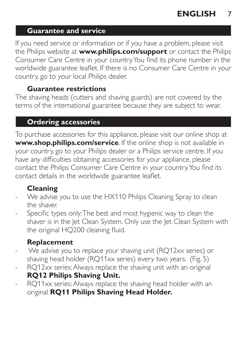#### **Guarantee and service**

If you need service or information or if you have a problem, please visit the Philips website at **www.philips.com/support** or contact the Philips Consumer Care Centre in your country. You find its phone number in the worldwide guarantee leaflet. If there is no Consumer Care Centre in your country, go to your local Philips dealer.

#### **Guarantee restrictions**

The shaving heads (cutters and shaving guards) are not covered by the terms of the international guarantee because they are subject to wear.

#### **Ordering accessories**

To purchase accessories for this appliance, please visit our online shop at **www.shop.philips.com/service**. If the online shop is not available in your country, go to your Philips dealer or a Philips service centre. If you have any difficulties obtaining accessories for your appliance, please contact the Philips Consumer Care Centre in your country. You find its contact details in the worldwide guarantee leaflet.

### **Cleaning**

- We advise you to use the HX110 Philips Cleaning Spray to clean the shaver.
- Specific types only: The best and most hygienic way to clean the shaver is in the Jet Clean System. Only use the Jet Clean System with the original HQ200 cleaning fluid.

#### **Replacement**

- We advise you to replace your shaving unit (RO12xx series) or shaving head holder (RQ11xx series) every two years. (Fig. 5)
- RO12xx series: Always replace the shaving unit with an original **RQ12 Philips Shaving Unit.**
- RQ11xx series: Always replace the shaving head holder with an original **RQ11 Philips Shaving Head Holder.**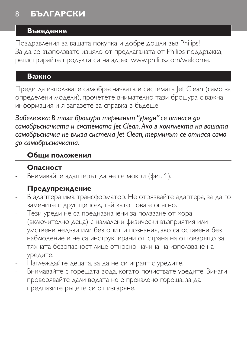#### <span id="page-7-0"></span>**Въведение**

Поздравления за вашата покупка и добре дошли във Philips! За да се възползвате изцяло от предлаганата от Philips поддръжка, регистрирайте продукта си на адрес www.philips.com/welcome.

#### **Важно**

Преди да използвате самобръсначката и системата Jet Clean (само за определени модели), прочетете внимателно тази брошура с важна информация и я запазете за справка в бъдеще.

*Забележка: В тази брошура терминът "уреди" се отнася до самобръсначката и системата Jet Clean. Ако в комплекта на вашата самобръсначка не влиза система Jet Clean, терминът се отнася само до самобръсначката.*

#### **Общи положения**

#### **Опасност**

Внимавайте адаптерът да не се мокри (фиг. 1).

#### **Предупреждение**

- В адаптера има трансформатор. Не отрязвайте адаптера, за да го замените с друг щепсел, тъй като това е опасно.
- Тези уреди не са предназначени за ползване от хора (включително деца) с намалени физически възприятия или умствени недъзи или без опит и познания, ако са оставени без наблюдение и не са инструктирани от страна на отговарящо за тяхната безопасност лице относно начина на използване на уредите.
- Наглеждайте децата, за да не си играят с уредите.
- Внимавайте с горещата вода, когато почиствате уредите. Винаги проверявайте дали водата не е прекалено гореща, за да предпазите ръцете си от изгаряне.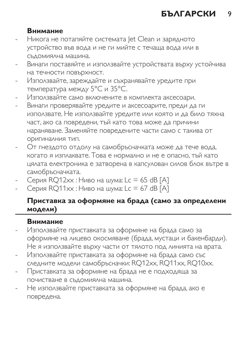#### **Внимание**

- Никога не потапяйте системата Jet Clean и зарядното устройство във вода и не ги мийте с течаща вода или в съдомиялна машина.
- Винаги поставяйте и използвайте устройствата върху устойчива на течности повърхност.
- Използвайте, зареждайте и съхранявайте уредите при температура между 5°C и 35°C.
- Използвайте само включените в комплекта аксесоари.
- Винаги проверявайте уредите и аксесоарите, преди да ги използвате. Не използвайте уредите или която и да било тяхна част, ако са повредени, тъй като това може да причини нараняване. Заменяйте повредените части само с такива от оригиналния тип.
- От гнездото отдолу на самобръсначката може да тече вода, когато я изплаквате. Това е нормално и не е опасно, тъй като цялата електроника е затворена в капсулован силов блок вътре в самобръсначката.
- $C$ ерия RO12xx : Ниво на шума: Lc = 65 dB [A]
- Серия  $RQ11xx$ : Ниво на шума: Lc = 67 dB [A]

#### **Приставка за оформяне на брада (само за определени модели)**

#### **Внимание**

- Използвайте приставката за оформяне на брада само за оформяне на лицево окосмяване (брада, мустаци и бакенбарди). Не я използвайте върху части от тялото под линията на врата.
- Използвайте приставката за оформяне на брада само със следните модели самобръсначки: RQ12xx, RQ11xx, RQ10xx.
- Приставката за оформяне на брада не е подходяща за почистване в съдомиялна машина.
- Не използвайте приставката за оформяне на брада, ако е повредена.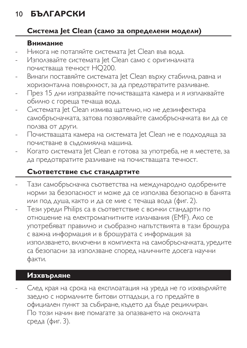#### **Система Jet Clean (само за определени модели)**

#### **Внимание**

- Никога не потапяйте системата Jet Clean във вода.
- Използвайте системата let Clean само с оригиналната почистваща течност HQ200.
- Винаги поставяйте системата Jet Clean върху стабилна, равна и хоризонтална повърхност, за да предотвратите разливане.
- През 15 дни изпразвайте почистващата камера и я изплаквайте обилно с гореща течаща вода.
- Системата Jet Clean измива щателно, но не дезинфектира самобръсначката, затова позволявайте самобръсначката ви да се ползва от други.
- Почистващата камера на системата Jet Clean не е подходяща за почистване в съдомиялна машина.
- Когато системата Jet Clean е готова за употреба, не я местете, за да предотвратите разливане на почистващата течност.

#### **Съответствие със стандартите**

- Тази самобръсначка съответства на международно одобрените норми за безопасност и може да се използва безопасно в банята или под душа, както и да се мие с течаща вода (фиг. 2).
- Тези уреди Philips са в съответствие с всички стандарти по отношение на електромагнитните излъчвания (EMF). Ако се употребяват правилно и съобразно напътствията в тази брошура с важна информация и в брошурата с информация за използването, включени в комплекта на самобръсначката, уредите са безопасни за използване според наличните досега научни факти.

#### **Изхвърляне**

След края на срока на експлоатация на уреда не го изхвърляйте заедно с нормалните битови отпадъци, а го предайте в официален пункт за събиране, където да бъде рециклиран. По този начин вие помагате за опазването на околната среда (фиг. 3).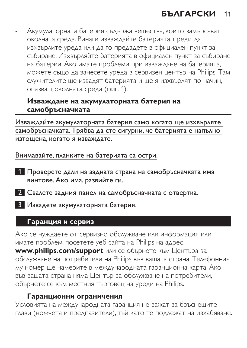Акумулаторната батерия съдържа вещества, които замърсяват околната среда. Винаги изваждайте батерията, преди да изхвърлите уреда или да го предадете в официален пункт за събиране. Изхвърляйте батерията в официален пункт за събиране на батерии. Ако имате проблеми при изваждане на батерията, можете също да занесете уреда в сервизен център на Philips. Там служителите ще извадят батерията и ще я изхвърлят по начин, опазващ околната среда (фиг. 4).

#### **Изваждане на акумулаторната батерия на самобръсначката**

Изваждайте акумулаторната батерия само когато ще изхвърляте самобръсначката. Трябва да сте сигурни, че батерията е напълно изтощена, когато я изваждате.

Внимавайте, планките на батерията са остри.

- 1 Проверете дали на задната страна на самобръсначката има винтове. Ако има, развийте ги.
- 2 Свалете задния панел на самобръсначката с отвертка.
- 3 Извадете акумулаторната батерия.

#### **Гаранция и сервиз**

Ако се нуждаете от сервизно обслужване или информация или имате проблем, посетете уеб сайта на Philips на адрес **www.philips.com/support** или се обърнете към Центъра за обслужване на потребители на Philips във вашата страна. Телефонния му номер ще намерите в международната гаранционна карта. Ако във вашата страна няма Център за обслужване на потребители, обърнете се към местния търговец на уреди на Philips.

#### **Гаранционни ограничения**

Условията на международната гаранция не важат за бръснещите глави (ножчета и предпазители), тъй като те подлежат на изхабяване.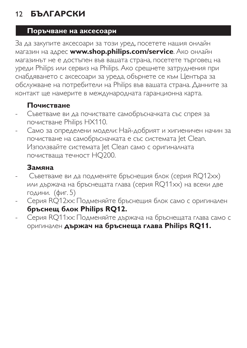#### **Поръчване на аксесоари**

За да закупите аксесоари за този уред, посетете нашия онлайн магазин на адрес **www.shop.philips.com/service**. Ако онлайн магазинът не е достъпен във вашата страна, посетете търговец на уреди Philips или сервиз на Philips. Ако срещнете затруднения при снабдяването с аксесоари за уреда, обърнете се към Центъра за обслужване на потребители на Philips във вашата страна. Данните за контакт ще намерите в международната гаранционна карта.

#### **Почистване**

- Съветваме ви да почиствате самобръсначката със спрея за почистване Philips HX110.
- Само за определени модели: Най-добрият и хигиеничен начин за почистване на самобръсначката е със системата Jet Clean. Използвайте системата Jet Clean само с оригиналната почистваща течност HQ200.

#### **Замяна**

- Съветваме ви да подменяте бръснещия блок (серия RQ12xx) или държача на бръснещата глава (серия RQ11xx) на всеки две години. (фиг. 5)
- Серия RQ12xx: Подменяйте бръснещия блок само с оригинален **бръснещ блок Philips RQ12.**
- Серия RQ11xx: Подменяйте държача на бръснещата глава само с оригинален **държач на бръснеща глава Philips RQ11.**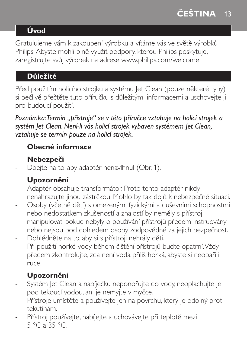### <span id="page-12-0"></span>**Úvod**

Gratulujeme vám k zakoupení výrobku a vítáme vás ve světě výrobků Philips. Abyste mohli plně využít podpory, kterou Philips poskytuje, zaregistrujte svůj výrobek na adrese www.philips.com/welcome.

#### **Důležité**

Před použitím holicího strojku a systému Jet Clean (pouze některé typy) si pečlivě přečtěte tuto příručku s důležitými informacemi a uschovejte ji pro budoucí použití.

*Poznámka: Termín "přístroje" se v této příručce vztahuje na holicí strojek a systém Jet Clean. Není-li vás holicí strojek vybaven systémem Jet Clean, vztahuje se termín pouze na holicí strojek.*

### **Obecné informace**

### **Nebezpečí**

Dbejte na to, aby adaptér nenavlhnul (Obr. 1).

### **Upozornění**

- Adaptér obsahuje transformátor. Proto tento adaptér nikdy nenahrazujte jinou zástrčkou. Mohlo by tak dojít k nebezpečné situaci.
- Osoby (včetně dětí) s omezenými fyzickými a duševními schopnostmi nebo nedostatkem zkušeností a znalostí by neměly s přístroji manipulovat, pokud nebyly o používání přístrojů předem instruovány nebo nejsou pod dohledem osoby zodpovědné za jejich bezpečnost.
- Dohlédněte na to, aby si s přístroji nehrály děti.
- Při použití horké vody během čištění přístrojů buďte opatrní. Vždy předem zkontrolujte, zda není voda příliš horká, abyste si neopařili ruce.

### **Upozornění**

- Systém Jet Clean a nabíječku neponořujte do vody, neoplachujte je pod tekoucí vodou, ani je nemyjte v myčce.
- Přístroje umístěte a používejte jen na povrchu, který je odolný proti tekutinám.
- Přístroj používejte, nabíjejte a uchovávejte při teplotě mezi 5 °C a 35 °C.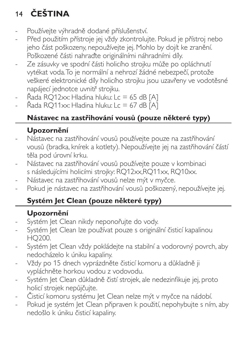# 14 **Čeština**

- Používejte výhradně dodané příslušenství.
- Před použitím přístroje jej vždy zkontrolujte. Pokud je přístroj nebo jeho část poškozeny, nepoužívejte jej. Mohlo by dojít ke zranění. Poškozené části nahraďte originálními náhradními díly.
- Ze zásuvky ve spodní části holicího strojku může po opláchnutí vytékat voda. To je normální a nehrozí žádné nebezpečí, protože veškeré elektronické díly holicího strojku jsou uzavřeny ve vodotěsné napájecí jednotce uvnitř strojku.
- $\text{Rada}$  RO12xx: Hladina hluku: Lc = 65 dB [A]
- $\text{Åada ROI1xx:}$  Hladina hluku: Lc = 67 dB  $\overline{[A]}$

### **Nástavec na zastřihování vousů (pouze některé typy)**

### **Upozornění**

- Nástavec na zastřihování vousů používejte pouze na zastřihování vousů (bradka, knírek a kotlety). Nepoužívejte jej na zastřihování částí těla pod úrovní krku.
- Nástavec na zastřihování vousů používejte pouze v kombinaci s následujícími holicími strojky: RO12xx,RO11xx, RO10xx.
- Nástavec na zastřihování vousů nelze mýt v myčce.
- Pokud je nástavec na zastřihování vousů poškozený, nepoužívejte jej.

# **Systém Jet Clean (pouze některé typy)**

### **Upozornění**

- Systém Jet Clean nikdy neponořujte do vody.
- Systém Jet Clean lze používat pouze s originální čisticí kapalinou HQ200.
- Systém Jet Clean vždy pokládejte na stabilní a vodorovný povrch, aby nedocházelo k úniku kapaliny.
- Vždy po 15 dnech vyprázdněte čisticí komoru a důkladně ji vypláchněte horkou vodou z vodovodu.
- Systém Jet Clean důkladně čistí strojek, ale nedezinfikuje jej, proto holicí strojek nepůjčujte.
- Čisticí komoru systému Jet Clean nelze mýt v myčce na nádobí.
- Pokud je systém let Clean připraven k použití, nepohybujte s ním, aby nedošlo k úniku čisticí kapaliny.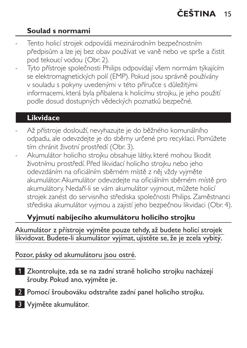#### **Soulad s normami**

- Tento holicí strojek odpovídá mezinárodním bezpečnostním předpisům a lze jej bez obav používat ve vaně nebo ve sprše a čistit pod tekoucí vodou (Obr. 2).
- Tyto přístroje společnosti Philips odpovídají všem normám týkajícím se elektromagnetických polí (EMP). Pokud jsou správně používány v souladu s pokyny uvedenými v této příručce s důležitými informacemi, která byla přibalena k holicímu strojku, je jeho použití podle dosud dostupných vědeckých poznatků bezpečné.

#### **Likvidace**

- Až přístroje doslouží, nevyhazujte je do běžného komunálního odpadu, ale odevzdejte je do sběrny určené pro recyklaci. Pomůžete tím chránit životní prostředí (Obr. 3).
- Akumulátor holicího strojku obsahuje látky, které mohou škodit životnímu prostředí. Před likvidací holicího strojku nebo jeho odevzdáním na oficiálním sběrném místě z něj vždy vyjměte akumulátor. Akumulátor odevzdejte na oficiálním sběrném místě pro akumulátory. Nedaří-li se vám akumulátor vyjmout, můžete holicí strojek zanést do servisního střediska společnosti Philips. Zaměstnanci střediska akumulátor vyjmou a zajistí jeho bezpečnou likvidaci (Obr. 4).

### **Vyjmutí nabíjecího akumulátoru holicího strojku**

Akumulátor z přístroje vyjměte pouze tehdy, až budete holicí strojek likvidovat. Budete-li akumulátor vyjímat, ujistěte se, že je zcela vybitý.

#### Pozor, pásky od akumulátoru jsou ostré.

- 1 Zkontrolujte, zda se na zadní straně holicího strojku nacházejí šrouby. Pokud ano, vyjměte je.
- 2 Pomocí šroubováku odstraňte zadní panel holicího strojku.
- 3 Vyjměte akumulátor.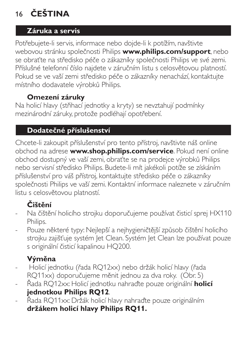# 16 **Čeština**

#### **Záruka a servis**

Potřebujete-li servis, informace nebo dojde-li k potížím, navštivte webovou stránku společnosti Philips **www.philips.com/support**, nebo se obraťte na středisko péče o zákazníky společnosti Philips ve své zemi. Příslušné telefonní číslo najdete v záručním listu s celosvětovou platností. Pokud se ve vaší zemi středisko péče o zákazníky nenachází, kontaktujte místního dodavatele výrobků Philips.

#### **Omezení záruky**

Na holicí hlavy (střihací jednotky a kryty) se nevztahují podmínky mezinárodní záruky, protože podléhají opotřebení.

#### **Dodatečné příslušenství**

Chcete-li zakoupit příslušenství pro tento přístroj, navštivte náš online obchod na adrese **www.shop.philips.com/service**. Pokud není online obchod dostupný ve vaší zemi, obraťte se na prodejce výrobků Philips nebo servisní středisko Philips. Budete-li mít jakékoli potíže se získáním příslušenství pro váš přístroj, kontaktujte středisko péče o zákazníky společnosti Philips ve vaší zemi. Kontaktní informace naleznete v záručním listu s celosvětovou platností.

### **Čištění**

- Na čištění holicího strojku doporučujeme používat čisticí sprej HX110 Philips.
- Pouze některé typy: Nejlepší a nejhygieničtější způsob čištění holicího strojku zajišťuje systém Jet Clean. Systém Jet Clean lze používat pouze s originální čisticí kapalinou HQ200.

### **Výměna**

- Holicí jednotku (řada RQ12xx) nebo držák holicí hlavy (řada RQ11xx) doporučujeme měnit jednou za dva roky. (Obr. 5)
- Řada RQ12xx: Holicí jednotku nahraďte pouze originální **holicí jednotkou Philips RQ12**.
- Řada RQ11xx: Držák holicí hlavy nahraďte pouze originálním **držákem holicí hlavy Philips RQ11.**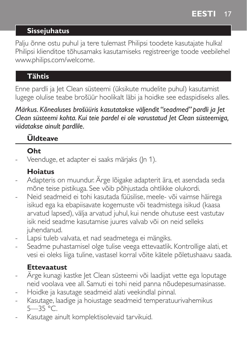#### <span id="page-16-0"></span>**Sissejuhatus**

Palju õnne ostu puhul ja tere tulemast Philipsi toodete kasutajate hulka! Philipsi klienditoe tõhusamaks kasutamiseks registreerige toode veebilehel www.philips.com/welcome.

#### **Tähtis**

Enne pardli ja Jet Clean süsteemi (üksikute mudelite puhul) kasutamist lugege olulise teabe brošüür hoolikalt läbi ja hoidke see edaspidiseks alles.

*Märkus. Kõnealuses brošüüris kasutatakse väljendit "seadmed" pardli ja Jet Clean süsteemi kohta. Kui teie pardel ei ole varustatud Jet Clean süsteemiga, viidatakse ainult pardlile.*

### **Üldteave**

### **Oht**

Veenduge, et adapter ei saaks märjaks (Jn 1).

### **Hoiatus**

- Adapteris on muundur. Ärge lõigake adapterit ära, et asendada seda mõne teise pistikuga. See võib põhjustada ohtlikke olukordi.
- Neid seadmeid ei tohi kasutada füüsilise, meele- või vaimse häirega isikud ega ka ebapiisavate kogemuste või teadmistega isikud (kaasa arvatud lapsed), välja arvatud juhul, kui nende ohutuse eest vastutav isik neid seadme kasutamise juures valvab või on neid selleks juhendanud.
- Lapsi tuleb valvata, et nad seadmetega ei mängiks.
- Seadme puhastamisel olge tulise veega ettevaatlik. Kontrollige alati, et vesi ei oleks liiga tuline, vastasel korral võite kätele põletushaavu saada.

#### **Ettevaatust**

- Ärge kunagi kastke Jet Clean süsteemi või laadijat vette ega loputage neid voolava vee all. Samuti ei tohi neid panna nõudepesumasinasse.
- Hoidke ja kasutage seadmeid alati veekindlal pinnal.
- Kasutage, laadige ja hoiustage seadmeid temperatuurivahemikus  $5 - 35$  °C.
- Kasutage ainult komplektisolevaid tarvikuid.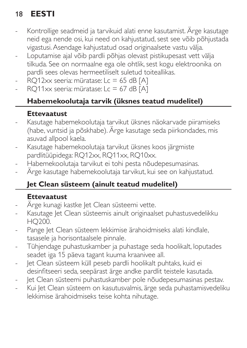### 18 **Eesti**

- Kontrollige seadmeid ja tarvikuid alati enne kasutamist. Ärge kasutage neid ega nende osi, kui need on kahjustatud, sest see võib põhjustada vigastusi. Asendage kahjustatud osad originaalsete vastu välja.
- Loputamise ajal võib pardli põhjas olevast pistikupesast vett välja tilkuda. See on normaalne ega ole ohtlik, sest kogu elektroonika on pardli sees olevas hermeetiliselt suletud toiteallikas.
- RO12xx seeria: müratase: Lc = 65 dB [A]
- $RO11xx$  seeria: müratase: Lc = 67 dB  $\overline{[A]}$

### **Habemekoolutaja tarvik (üksnes teatud mudelitel)**

### **Ettevaatust**

- Kasutage habemekoolutaja tarvikut üksnes näokarvade piiramiseks (habe, vuntsid ja põskhabe). Ärge kasutage seda piirkondades, mis asuvad allpool kaela.
- Kasutage habemekoolutaja tarvikut üksnes koos järgmiste pardlitüüpidega: RQ12xx, RQ11xx, RQ10xx.
- Habemekoolutaja tarvikut ei tohi pesta nõudepesumasinas.
- Ärge kasutage habemekoolutaja tarvikut, kui see on kahjustatud.

### **Jet Clean süsteem (ainult teatud mudelitel)**

#### **Ettevaatust**

- Ärge kunagi kastke Jet Clean süsteemi vette.
- Kasutage Jet Clean süsteemis ainult originaalset puhastusvedelikku HQ200.
- Pange Jet Clean süsteem lekkimise ärahoidmiseks alati kindlale, tasasele ja horisontaalsele pinnale.
- Tühjendage puhastuskamber ja puhastage seda hoolikalt, loputades seadet iga 15 päeva tagant kuuma kraanivee all.
- Jet Clean süsteem küll peseb pardli hoolikalt puhtaks, kuid ei desinfitseeri seda, seepärast ärge andke pardlit teistele kasutada.
- Jet Clean süsteemi puhastuskamber pole nõudepesumasinas pestav.
- Kui Jet Clean süsteem on kasutusvalmis, ärge seda puhastamisvedeliku lekkimise ärahoidmiseks teise kohta nihutage.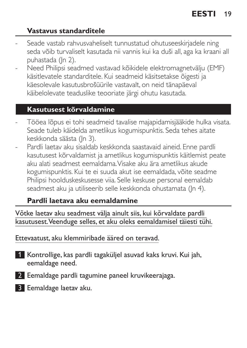#### **Vastavus standarditele**

- Seade vastab rahvusvaheliselt tunnustatud ohutuseeskirjadele ning seda võib turvaliselt kasutada nii vannis kui ka duši all, aga ka kraani all puhastada (Jn 2).
- Need Philipsi seadmed vastavad kõikidele elektromagnetvälju (EMF) käsitlevatele standarditele. Kui seadmeid käsitsetakse õigesti ja käesolevale kasutusbrošüürile vastavalt, on neid tänapäeval käibelolevate teaduslike teooriate järgi ohutu kasutada.

#### **Kasutusest kõrvaldamine**

- Tööea lõpus ei tohi seadmeid tavalise majapidamisjääkide hulka visata. Seade tuleb käidelda ametlikus kogumispunktis. Seda tehes aitate keskkonda säästa (Jn 3).
- Pardli laetav aku sisaldab keskkonda saastavaid aineid. Enne pardli kasutusest kõrvaldamist ja ametlikus kogumispunktis käitlemist peate aku alati seadmest eemaldama. Visake aku ära ametlikus akude kogumispunktis. Kui te ei suuda akut ise eemaldada, võite seadme Philipsi hoolduskeskusesse viia. Selle keskuse personal eemaldab seadmest aku ja utiliseerib selle keskkonda ohustamata (Jn 4).

#### **Pardli laetava aku eemaldamine**

Võtke laetav aku seadmest välja ainult siis, kui kõrvaldate pardli kasutusest. Veenduge selles, et aku oleks eemaldamisel täiesti tühi.

#### Ettevaatust, aku klemmiribade ääred on teravad.

- 1 Kontrollige, kas pardli tagaküljel asuvad kaks kruvi. Kui jah, eemaldage need.
- 2 Eemaldage pardli tagumine paneel kruvikeerajaga.
- **3** Eemaldage laetav aku.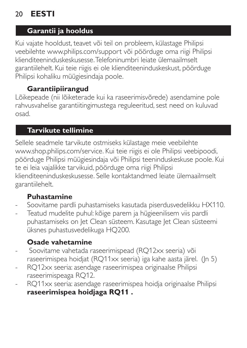### 20 **Eesti**

#### **Garantii ja hooldus**

Kui vajate hooldust, teavet või teil on probleem, külastage Philipsi veebilehte www.philips.com/support või pöörduge oma riigi Philipsi klienditeeninduskeskusesse. Telefoninumbri leiate ülemaailmselt garantiilehelt. Kui teie riigis ei ole klienditeeninduskeskust, pöörduge Philipsi kohaliku müügiesindaja poole.

#### **Garantiipiirangud**

Lõikepeade (nii lõiketerade kui ka raseerimisvõrede) asendamine pole rahvusvahelise garantiitingimustega reguleeritud, sest need on kuluvad osad.

#### **Tarvikute tellimine**

Sellele seadmele tarvikute ostmiseks külastage meie veebilehte www.shop.philips.com/service. Kui teie riigis ei ole Philipsi veebipoodi, pöörduge Philipsi müügiesindaja või Philipsi teeninduskeskuse poole. Kui te ei leia vajalikke tarvikuid, pöörduge oma riigi Philipsi klienditeeninduskeskusesse. Selle kontaktandmed leiate ülemaailmselt garantiilehelt.

### **Puhastamine**

- Soovitame pardli puhastamiseks kasutada piserdusvedelikku HX110.
- Teatud mudelite puhul: kõige parem ja hügieenilisem viis pardli puhastamiseks on Jet Clean süsteem. Kasutage Jet Clean süsteemi üksnes puhastusvedelikuga HQ200.

#### **Osade vahetamine**

- Soovitame vahetada raseerimispead (RQ12xx seeria) või raseerimispea hoidjat (RQ11xx seeria) iga kahe aasta järel. (Jn 5)
- RO12xx seeria: asendage raseerimispea originaalse Philipsi raseerimispeaga RQ12.
- RQ11xx seeria: asendage raseerimispea hoidja originaalse Philipsi **raseerimispea hoidjaga RQ11 .**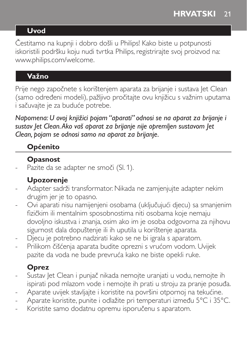#### <span id="page-20-0"></span>**Uvod**

Čestitamo na kupnji i dobro došli u Philips! Kako biste u potpunosti iskoristili podršku koju nudi tvrtka Philips, registrirajte svoj proizvod na: www.philips.com/welcome.

### **Važno**

Prije nego započnete s korištenjem aparata za brijanje i sustava Jet Clean (samo određeni modeli), pažljivo pročitajte ovu knjižicu s važnim uputama i sačuvajte je za buduće potrebe.

*Napomena: U ovoj knjižici pojam "aparati" odnosi se na aparat za brijanje i sustav Jet Clean. Ako vaš aparat za brijanje nije opremljen sustavom Jet Clean, pojam se odnosi samo na aparat za brijanje.*

### **Općenito**

### **Opasnost**

Pazite da se adapter ne smoči (Sl. 1).

### **Upozorenje**

- Adapter sadrži transformator. Nikada ne zamjenjujte adapter nekim drugim jer je to opasno.
- Ovi aparati nisu namijenjeni osobama (uključujući djecu) sa smanjenim fizičkim ili mentalnim sposobnostima niti osobama koje nemaju dovoljno iskustva i znanja, osim ako im je osoba odgovorna za njihovu sigurnost dala dopuštenje ili ih uputila u korištenje aparata.
- Djecu je potrebno nadzirati kako se ne bi igrala s aparatom.
- Prilikom čišćenja aparata budite oprezni s vrućom vodom. Uvijek pazite da voda ne bude prevruća kako ne biste opekli ruke.

### **Oprez**

- Sustav let Clean i punjač nikada nemojte uranjati u vodu, nemojte ih ispirati pod mlazom vode i nemojte ih prati u stroju za pranje posuđa.
- Aparate uvijek stavljajte i koristite na površini otpornoj na tekućine.
- Aparate koristite, punite i odlažite pri temperaturi između 5°C i 35°C.
- Koristite samo dodatnu opremu isporučenu s aparatom.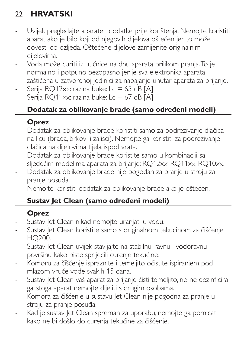# 22 **Hrvatski**

- Uvijek pregledajte aparate i dodatke prije korištenja. Nemojte koristiti aparat ako je bilo koji od njegovih dijelova oštećen jer to može dovesti do ozljeda. Oštećene dijelove zamijenite originalnim dijelovima.
- Voda može curiti iz utičnice na dnu aparata prilikom pranja. To je normalno i potpuno bezopasno jer je sva elektronika aparata zaštićena u zatvorenoj jedinici za napajanje unutar aparata za brijanje.
- Serija RO12 $\times$ x: razina buke: Lc = 65 dB [A]
- Serija RQ11 $xx$ : razina buke: Lc = 67 dB [A]

### **Dodatak za oblikovanje brade (samo određeni modeli)**

### **Oprez**

- Dodatak za oblikovanje brade koristiti samo za podrezivanje dlačica na licu (brada, brkovi i zalisci). Nemojte ga koristiti za podrezivanje dlačica na dijelovima tijela ispod vrata.
- Dodatak za oblikovanje brade koristite samo u kombinaciji sa sljedećim modelima aparata za brijanje: RQ12xx, RQ11xx, RQ10xx.
- Dodatak za oblikovanje brade nije pogodan za pranje u stroju za pranje posuđa.
- Nemojte koristiti dodatak za oblikovanje brade ako je oštećen.

### **Sustav Jet Clean (samo određeni modeli)**

### **Oprez**

- Sustav let Clean nikad nemojte uranjati u vodu.
- Sustav Jet Clean koristite samo s originalnom tekućinom za čišćenje HQ200.
- Sustav Jet Clean uvijek stavljajte na stabilnu, ravnu i vodoravnu površinu kako biste spriječili curenje tekućine.
- Komoru za čišćenje ispraznite i temeljito očistite ispiranjem pod mlazom vruće vode svakih 15 dana.
- Sustav Jet Clean vaš aparat za brijanje čisti temeljito, no ne dezinficira ga, stoga aparat nemojte dijeliti s drugim osobama.
- Komora za čišćenje u sustavu Jet Clean nije pogodna za pranje u stroju za pranje posuđa.
- Kad je sustav let Clean spreman za uporabu, nemojte ga pomicati kako ne bi došlo do curenja tekućine za čišćenje.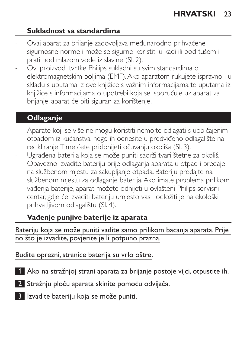#### **Sukladnost sa standardima**

- Ovaj aparat za brijanje zadovoljava međunarodno prihvaćene sigurnosne norme i može se sigurno koristiti u kadi ili pod tušem i prati pod mlazom vode iz slavine (Sl. 2).
- Ovi proizvodi tvrtke Philips sukladni su svim standardima o elektromagnetskim poljima (EMF). Ako aparatom rukujete ispravno i u skladu s uputama iz ove knjižice s važnim informacijama te uputama iz knjižice s informacijama o upotrebi koja se isporučuje uz aparat za brijanje, aparat će biti siguran za korištenje.

#### **Odlaganje**

- Aparate koji se više ne mogu koristiti nemojte odlagati s uobičajenim otpadom iz kućanstva, nego ih odnesite u predviđeno odlagalište na recikliranje. Time ćete pridonijeti očuvanju okoliša (Sl. 3).
- Ugrađena baterija koja se može puniti sadrži tvari štetne za okoliš. Obavezno izvadite bateriju prije odlaganja aparata u otpad i predaje na službenom mjestu za sakupljanje otpada. Bateriju predajte na službenom mjestu za odlaganje baterija. Ako imate problema prilikom vađenja baterije, aparat možete odnijeti u ovlašteni Philips servisni centar, gdje će izvaditi bateriju umjesto vas i odložiti je na ekološki prihvatljivom odlagalištu (Sl. 4).

### **Vađenje punjive baterije iz aparata**

Bateriju koja se može puniti vadite samo prilikom bacanja aparata. Prije no što je izvadite, povjerite je li potpuno prazna.

#### Budite oprezni, stranice baterija su vrlo oštre.

- 1 Ako na stražnjoj strani aparata za brijanje postoje vijci, otpustite ih.
- 2 Stražnju ploču aparata skinite pomoću odvijača.
- 3 Izvadite bateriju koja se može puniti.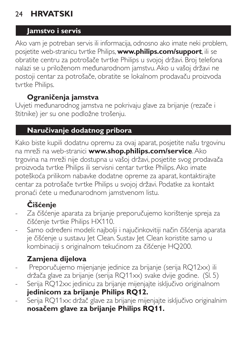### 24 **Hrvatski**

#### **Jamstvo i servis**

Ako vam je potreban servis ili informacija, odnosno ako imate neki problem, posjetite web-stranicu tvrtke Philips, **www.philips.com/support**, ili se obratite centru za potrošače tvrtke Philips u svojoj državi. Broj telefona nalazi se u priloženom međunarodnom jamstvu. Ako u vašoj državi ne postoji centar za potrošače, obratite se lokalnom prodavaču proizvoda tvrtke Philips.

#### **Ograničenja jamstva**

Uvjeti međunarodnog jamstva ne pokrivaju glave za brijanje (rezače i štitnike) jer su one podložne trošenju.

### **Naručivanje dodatnog pribora**

Kako biste kupili dodatnu opremu za ovaj aparat, posjetite našu trgovinu na mreži na web-stranici **www.shop.philips.com/service**. Ako trgovina na mreži nije dostupna u vašoj državi, posjetite svog prodavača proizvoda tvrtke Philips ili servisni centar tvrtke Philips. Ako imate poteškoća prilikom nabavke dodatne opreme za aparat, kontaktirajte centar za potrošače tvrtke Philips u svojoj državi. Podatke za kontakt pronaći ćete u međunarodnom jamstvenom listu.

### **Čišćenje**

- Za čišćenje aparata za brijanje preporučujemo korištenje spreja za čišćenje tvrtke Philips HX110.
- Samo određeni modeli: najbolji i najučinkovitiji način čišćenja aparata je čišćenje u sustavu let Clean. Sustav let Clean koristite samo u kombinaciji s originalnom tekućinom za čišćenje HQ200.

### **Zamjena dijelova**

- Preporučujemo mijenjanje jedinice za brijanje (serija RQ12xx) ili držača glave za brijanje (serija RQ11xx) svake dvije godine. (Sl. 5)
- Serija RQ12xx: jedinicu za brijanje mijenjajte isključivo originalnom **jedinicom za brijanje Philips RQ12.**
- Serija RQ11xx: držač glave za brijanje mijenjajte isključivo originalnim **nosačem glave za brijanje Philips RQ11.**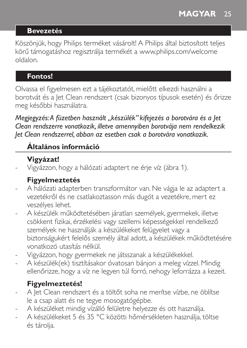#### <span id="page-24-0"></span>**Bevezetés**

Köszönjük, hogy Philips terméket vásárolt! A Philips által biztosított teljes körű támogatáshoz regisztrálja termékét a www.philips.com/welcome oldalon.

#### **Fontos!**

Olvassa el figyelmesen ezt a tájékoztatót, mielőtt elkezdi használni a borotvát és a Jet Clean rendszert (csak bizonyos típusok esetén) és őrizze meg későbbi használatra.

*Megjegyzés: A füzetben használt "készülék" kifejezés a borotvára és a Jet Clean rendszerre vonatkozik, illetve amennyiben borotvája nem rendelkezik Jet Clean rendszerrel, abban az esetben csak a borotvára vonatkozik.*

#### **Általános információ**

### **Vigyázat!**

- Vigyázzon, hogy a hálózati adaptert ne érje víz (ábra 1).

#### **Figyelmeztetés**

- A hálózati adapterben transzformátor van. Ne vágja le az adaptert a vezetékről és ne csatlakoztasson más dugót a vezetékre, mert ez veszélyes lehet.
- A készülék működtetésében járatlan személyek, gyermekek, illetve csökkent fizikai, érzékelési vagy szellemi képességekkel rendelkező személyek ne használják a készülékeket felügyelet vagy a biztonságukért felelős személy által adott, a készülékek működtetésére vonatkozó utasítás nélkül.
- Vigyázzon, hogy gyermekek ne játsszanak a készülékekkel.
- A készülék(ek) tisztításakor óvatosan bánjon a meleg vízzel. Mindig ellenőrizze, hogy a víz ne legyen túl forró, nehogy leforrázza a kezeit.

#### **Figyelmeztetés!**

- A let Clean rendszert és a töltőt soha ne merítse vízbe, ne öblítse le a csap alatt és ne tegye mosogatógépbe.
- A készüléket mindig vízálló felületre helyezze és ott használja.
- A készülékeket 5 és 35 °C közötti hőmérsékleten használja, töltse és tárolja.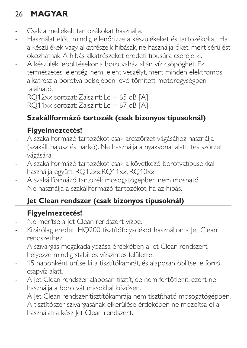# 26 **Magyar**

- Csak a mellékelt tartozékokat használja.
- Használat előtt mindig ellenőrizze a készülékeket és tartozékokat. Ha a készülékek vagy alkatrészeik hibásak, ne használja őket, mert sérülést okozhatnak. A hibás alkatrészeket eredeti típusúra cseréje ki.
- A készülék leöblítésekor a borotvaház alján víz csöpöghet. Ez természetes jelenség, nem jelent veszélyt, mert minden elektromos alkatrész a borotva belsejében lévő tömített motoregységben található.
- $RO12xx$  sorozat: Zajszint: Lc = 65 dB [A]
- $RQ11xx$  sorozat: Zajszint: Lc = 67 dB  $\overline{[A]}$

### **Szakállformázó tartozék (csak bizonyos típusoknál)**

### **Figyelmeztetés!**

- A szakállformázó tartozékot csak arcszőrzet vágásához használja (szakáll, bajusz és barkó). Ne használja a nyakvonal alatti testszőrzet vágására.
- A szakállformázó tartozékot csak a következő borotvatípusokkal használja együtt: RQ12xx,RQ11xx, RQ10xx.
- A szakállformázó tartozék mosogatógépben nem mosható.
- Ne használja a szakállformázó tartozékot, ha az hibás.

### **Jet Clean rendszer (csak bizonyos típusoknál)**

### **Figyelmeztetés!**

- Ne merítse a let Clean rendszert vízbe.
- Kizárólag eredeti HQ200 tisztítófolyadékot használjon a Jet Clean rendszerhez.
- A szivárgás megakadályozása érdekében a let Clean rendszert helyezze mindig stabil és vízszintes felületre.
- 15 naponként ürítse ki a tisztítókamrát, és alaposan öblítse le forró csapvíz alatt.
- A Jet Clean rendszer alaposan tisztít, de nem fertőtlenít, ezért ne használja a borotvát másokkal közösen.
- A Jet Clean rendszer tisztítókamrája nem tisztítható mosogatógépben.
- A tisztítószer szivárgásának elkerülése érdekében ne mozdítsa el a használatra kész let Clean rendszert.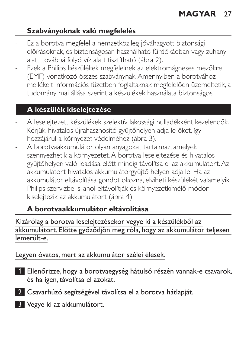#### **Szabványoknak való megfelelés**

- Ez a borotva megfelel a nemzetközileg jóváhagyott biztonsági előírásoknak, és biztonságosan használható fürdőkádban vagy zuhany alatt, továbbá folyó víz alatt tisztítható (ábra 2).
- Ezek a Philips készülékek megfelelnek az elektromágneses mezőkre (EMF) vonatkozó összes szabványnak. Amennyiben a borotvához mellékelt információs füzetben foglaltaknak megfelelően üzemeltetik, a tudomány mai állása szerint a készülékek használata biztonságos.

#### **A készülék kiselejtezése**

- A leselejtezett készülékek szelektív lakossági hulladékként kezelendők. Kérjük, hivatalos újrahasznosító gyűjtőhelyen adja le őket, így hozzájárul a környezet védelméhez (ábra 3).
- A borotvaakkumulátor olyan anyagokat tartalmaz, amelyek szennyezhetik a környezetet. A borotva leselejtezése és hivatalos gyűjtőhelyen való leadása előtt mindig távolítsa el az akkumulátort. Az akkumulátort hivatalos akkumulátorgyűjtő helyen adja le. Ha az akkumulátor eltávolítása gondot okozna, elviheti készülékét valamelyik Philips szervizbe is, ahol eltávolítják és környezetkímélő módon kiselejtezik az akkumulátort (ábra 4).

### **A borotvaakkumulátor eltávolítása**

Kizárólag a borotva leselejtezésekor vegye ki a készülékből az akkumulátort. Előtte győződjön meg róla, hogy az akkumulátor teljesen lemerült-e.

Legyen óvatos, mert az akkumulátor szélei élesek.

- 1 Ellenőrizze, hogy a borotvaegység hátulsó részén vannak-e csavarok, és ha igen, távolítsa el azokat.
- 2 Csavarhúzó segítségével távolítsa el a borotva hátlapját.
- 3 Vegye ki az akkumulátort.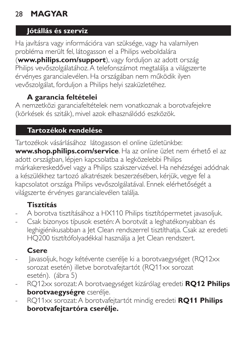### 28 **Magyar**

#### **Jótállás és szerviz**

Ha javításra vagy információra van szüksége, vagy ha valamilyen probléma merült fel, látogasson el a Philips weboldalára (**www.philips.com/support**), vagy forduljon az adott ország Philips vevőszolgálatához. A telefonszámot megtalálja a világszerte érvényes garancialevélen. Ha országában nem működik ilyen vevőszolgálat, forduljon a Philips helyi szaküzletéhez.

#### **A garancia feltételei**

A nemzetközi garanciafeltételek nem vonatkoznak a borotvafejekre (körkések és sziták), mivel azok elhasználódó eszközök.

#### **Tartozékok rendelése**

Tartozékok vásárlásához látogasson el online üzletünkbe: **www.shop.philips.com/service**. Ha az online üzlet nem érhető el az adott országban, lépjen kapcsolatba a legközelebbi Philips márkakereskedővel vagy a Philips szakszervizével. Ha nehézségei adódnak a készülékhez tartozó alkatrészek beszerzésében, kérjük, vegye fel a kapcsolatot országa Philips vevőszolgálatával. Ennek elérhetőségét a világszerte érvényes garancialevélen találja.

### **Tisztítás**

- A borotva tisztításához a HX110 Philips tisztítópermetet javasoljuk.
- Csak bizonyos típusok esetén: A borotvát a leghatékonyabban és leghigiénikusabban a Jet Clean rendszerrel tisztíthatja. Csak az eredeti HQ200 tisztítófolyadékkal használja a Jet Clean rendszert.

### **Csere**

- Javasoljuk, hogy kétévente cserélje ki a borotvaegységet (RQ12xx sorozat esetén) illetve borotvafejtartót (RQ11xx sorozat esetén). (ábra 5)
- RQ12xx sorozat: A borotvaegységet kizárólag eredeti **RQ12 Philips borotvaegységre** cserélje.
- RQ11xx sorozat: A borotvafejtartót mindig eredeti **RQ11 Philips borotvafejtartóra cserélje.**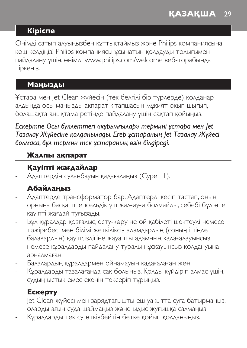#### <span id="page-28-0"></span>**Кіріспе**

Өнімді сатып алуыңызбен құттықтаймыз және Philips компаниясына қош келдіңіз! Philips компаниясы ұсынатын қолдауды толығымен пайдалану үшін, өнімді www.philips.com/welcome веб-торабында тіркеңіз.

#### **Маңызды**

Ұстара мен Jet Clean жүйесін (тек белгілі бір түрлерде) қолданар алдында осы маңызды ақпарат кітапшасын мұқият оқып шығып, болашақта анықтама ретінде пайдалану үшін сақтап қойыңыз.

*Ескертпе Осы буклеттегі «құрылғылар» термині ұстара мен Jet Тазалау Жүйесіне қолданылады. Егер ұстараның Jet Тазалау Жүйесі болмаса, бұл термин тек ұстараның өзін білдіреді.*

#### **Жалпы ақпарат**

#### **Қауіпті жағдайлар**

- Адаптердің суланбауын қадағалаңыз (Cурет 1).

### **Абайлаңыз**

- Адаптерде трансформатор бар. Адаптерді кесіп тастап, оның орнына басқа штепсельдік ұш жалғауға болмайды, себебі бұл өте қауіпті жағдай туғызады.
- Бұл құралдар қозғалыс, есту-көру не ой қабілеті шектеулі немесе тәжірибесі мен білімі жеткіліксіз адамдардың (соның ішінде балалардың) қауіпсіздігіне жауапты адамның қадағалауынсыз немесе құралдарды пайдалану туралы нұсқауынсыз қолдануына арналмаған.
- Балалардың құралдармен ойнамауын қадағалаған жөн.
- Құралдарды тазалағанда сақ болыңыз. Қолды күйдіріп алмас үшін, судың ыстық емес екенін тексеріп тұрыңыз.

### **Ескерту**

- let Clean жүйесі мен зарядтағышты еш уақытта суға батырмаңыз, оларды ағын суда шаймаңыз және ыдыс жуғышқа салмаңыз.
- Құралдарды тек су өткізбейтін бетке қойып қолданыңыз.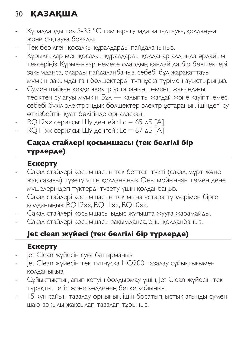### 30 **Қазақша**

- Құралдарды тек 5-35 °C температурада зарядтауға, қолдануға және сақтауға болады.
- Тек берілген қосалқы құралдарды пайдаланыңыз.
- Құрылғылар мен қосалқы құралдарды қолданар алдында әрдайым тексеріңіз. Құрылғылар немесе олардың қандай да бір бөлшектері зақымданса, оларды пайдаланбаңыз, себебі бұл жарақаттауы мүмкін. зақымданған бөлшектерді түпнұсқа түрімен ауыстырыңыз.
- Сумен шайған кезде электр ұстараның төменгі жағындағы тесіктен су ағуы мүмкін. Бұл — қалыпты жағдай және қауіпті емес, себебі бүкіл электрондық бөлшектер электр ұстараның ішіндегі су өткізбейтін қуат бөлігінде орналасқан.
- $RO12xx$  сериясы: Шу деңгейі: Lc = 65 дБ [A]
- $RQ11xx$  сериясы: Шу деңгейі: Lc = 67 дБ $\overline{[A]}$

#### **Сақал стайлері қосымшасы (тек белгілі бір түрлерде)**

#### **Ескерту**

- Сақал стайлері қосымшасын тек беттегі түкті (сақал, мұрт және жақ сақалы) түзету үшін қолданыңыз. Оны мойыннан төмен дене мүшелеріндегі түктерді түзету үшін қолданбаңыз.
- Сақал стайлері қосымшасын тек мына ұстара түрлерімен бірге қолданыңыз: RQ12xx, RQ11xx, RQ10xx.
- Сақал стайлері қосымшасы ыдыс жуғышта жууға жарамайды.
- Сақал стайлері қосымшасы зақымданса, оны қолданбаңыз.

### **Jet clean жүйесі (тек белгілі бір түрлерде)**

#### **Ескерту**

- let Clean жүйесін суға батырмаңыз.
- let Clean жүйесін тек түпнұсқа HQ200 тазалау сұйықтығымен қолданыңыз.
- Сұйықтықтың ағып кетуін болдырмау үшін, let Clean жүйесін тек тұрақты, тегіс және көлденең бетке қойыңыз.
- 15 күн сайын тазалау орнының ішін босатып, ыстық ағынды сумен шаю арқылы жақсылап тазалап тұрыңыз.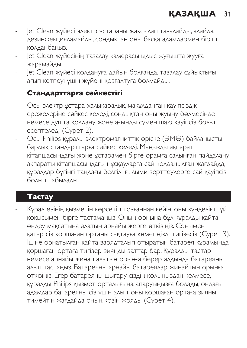- Jet Clean жүйесі электр ұстараны жақсылап тазалайды, алайда дезинфекцияламайды, сондықтан оны басқа адамдармен бірігіп қолданбаңыз.
- Jet Clean жүйесінің тазалау камерасы ыдыс жуғышта жууға жарамайды.
- let Clean жүйесі қолдануға дайын болғанда, тазалау сұйықтығы ағып кетпеуі үшін жүйені қозғалтуға болмайды.

#### **Стандарттарға сәйкестігі**

- Осы электр ұстара халықаралық, мақұлданған қауіпсіздік ережелеріне сәйкес келеді, сондықтан оны жуыну бөлмесінде немесе душта қолдану және ағынды сумен шаю қауіпсіз болып есептеледі (Cурет 2).
- Осы Philips құралы электромагниттік өріске (ЭМӨ) байланысты барлық стандарттарға сәйкес келеді. Маңызды ақпарат кітапшасындағы және ұстарамен бірге орамға салынған пайдалану ақпараты кітапшасындағы нұсқауларға сай қолданылған жағдайда, құралдар бүгінгі таңдағы белгілі ғылыми зерттеулерге сай қауіпсіз болып табылады.

#### **Тастау**

- Құрал өзінің қызметін көрсетіп тозғаннан кейін, оны күнделікті үй қоқысымен бірге тастамаңыз. Оның орнына бұл құралды қайта өндеу мақсатына алатын арнайы жерге өткізіңіз. Сонымен қатар сіз қоршаған ортаны сақтауға көмегіңізді тигізесіз (Cурет 3).
- Ішіне орнатылған қайта зарядталып отыратын батарея құрамында қоршаған ортаға тигізер зиянды заттар бар. Құралды тастар немесе арнайы жинап алатын орынға берер алдында батареяны алып тастаңыз. Батареяны арнайы батареялар жинайтын орынға өткізіңіз. Егер батареяны шығару сіздің қолыңыздан келмесе, құралды Philips қызмет орталығына апаруыңызға болады, ондағы адамдар батареяны сіз үшін алып, оны қоршаған ортаға зияны тимейтін жағдайда оның көзін жояды (Cурет 4).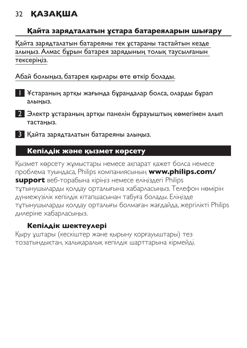### 32 **Қазақша**

#### **Қайта зарядталатын ұстара батареяларын шығару**

Қайта зарядталатын батареяны тек ұстараны тастайтын кезде алыңыз. Алмас бұрын батарея зарядының толық таусылғанын тексеріңіз.

Абай болыңыз, батарея қырлары өте өткір болады.

- 1 Ұстараның артқы жағында бұрандалар болса, оларды бұрап алыңыз.
- 2 Электр ұстараның артқы панелін бұрауыштың көмегімен алып тастаңыз.
- 3 Қайта зарядталатын батареяны алыңыз.

#### **Кепілдік және қызмет көрсету**

Қызмет көрсету жұмыстары немесе ақпарат қажет болса немесе проблема туындаса, Philips компаниясының **www.philips.com/ support** веб-торабына кіріңіз немесе еліңіздегі Philips тұтынушыларды қолдау орталығына хабарласыңыз. Телефон нөмірін дүниежүзілік кепілдік кітапшасынан табуға болады. Еліңізде тұтынушыларды қолдау орталығы болмаған жағдайда, жергілікті Philips дилеріне хабарласыңыз.

#### **Кепілдік шектеулері**

Қыру ұштары (кескіштер және қырыну қорғауыштары) тез тозатындықтан, халықаралық кепілдік шарттарына кірмейді.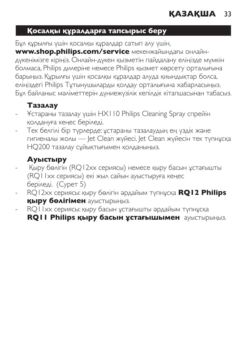#### **Қосалқы құралдарға тапсырыс беру**

Бұл құрылғы үшін қосалқы құралдар сатып алу үшін,

**www.shop.philips.com/service** мекенжайындағы онлайндүкенімізге кіріңіз. Онлайн-дүкен қызметін пайдалану еліңізде мүмкін болмаса, Philips дилеріне немесе Philips қызмет көрсету орталығына барыңыз. Құрылғы үшін қосалқы құралдар алуда қиындықтар болса, еліңіздегі Philips Тұтынушыларды қолдау орталығына хабарласыңыз. Бұл байланыс мәліметтерін дүниежүзілік кепілдік кітапшасынан табасыз.

#### **Тазалау**

- Ұстараны тазалау үшін HX110 Philips Cleaning Spray спрейін қолдануға кеңес беріледі.
- Тек белгілі бір түрлерде: ұстараны тазалаудың ең үздік және гигиеналы жолы — Jet Clean жүйесі. Jet Clean жүйесін тек түпнұсқа HQ200 тазалау сұйықтығымен қолданыңыз.

#### **Ауыстыру**

- Қыру бөлігін (RQ12xx сериясы) немесе қыру басын ұстағышты (RQ11xx сериясы) екі жыл сайын ауыстыруға кеңес беріледі. (Cурет 5)
- RQ12xx сериясы: қыру бөлігін әрдайым түпнұсқа **RQ12 Philips қыру бөлігімен** ауыстырыңыз.
- RO11xx сериясы: қыру басын ұстағышты әрдайым түпнұсқа

#### **RQ11 Philips қыру басын ұстағышымен** ауыстырыңыз.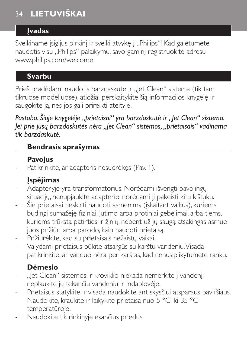### <span id="page-33-0"></span>34 **Lietuviškai**

#### **Įvadas**

Sveikiname įsigijus pirkinį ir sveikį atvykę į "Philips"! Kad galėtumėte naudotis visu "Philips" palaikymu, savo gaminį registruokite adresu www.philips.com/welcome.

#### **Svarbu**

Prieš pradėdami naudotis barzdaskute ir "Jet Clean" sistema (tik tam tikruose modeliuose), atidžiai perskaitykite šią informacijos knygelę ir saugokite ją, nes jos gali prireikti ateityje.

Pastaba. Šioje knygelėje "prietaisai" yra barzdaskutė ir "let Clean" sistema. *Jei prie jūsų barzdaskutės nėra "Jet Clean" sistemos, "prietaisais" vadinama tik barzdaskutė.*

### **Bendrasis aprašymas**

### **Pavojus**

Patikrinkite, ar adapteris nesudrėkęs (Pav. 1).

### **Įspėjimas**

- Adapteryje yra transformatorius. Norėdami išvengti pavojingų situacijų, nenupjaukite adapterio, norėdami jį pakeisti kitu kištuku.
- Šie prietaisai neskirti naudoti asmenims (įskaitant vaikus), kuriems būdingi sumažėję fiziniai, jutimo arba protiniai gebėjimai, arba tiems, kuriems trūksta patirties ir žinių, nebent už jų saugą atsakingas asmuo juos prižiūri arba parodo, kaip naudoti prietaisą.
- Prižiūrėkite, kad su prietaisais nežaistų vaikai.
- Valydami prietaisus būkite atsargūs su karštu vandeniu. Visada patikrinkite, ar vanduo nėra per karštas, kad nenusiplikytumėte rankų.

### **Dėmesio**

- "Jet Clean" sistemos ir kroviklio niekada nemerkite į vandenį, neplaukite jų tekančiu vandeniu ir indaplovėje.
- Prietaisus statykite ir visada naudokite ant skysčiui atsparaus paviršiaus.
- Naudokite, kraukite ir laikykite prietaisą nuo 5 °C iki 35 °C temperatūroje.
- Naudokite tik rinkinyje esančius priedus.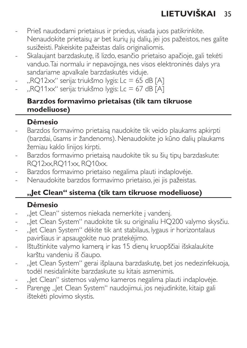# **Lietuviškai** 35

- Prieš naudodami prietaisus ir priedus, visada juos patikrinkite. Nenaudokite prietaisų ar bet kurių jų dalių, jei jos pažeistos, nes galite susižeisti. Pakeiskite pažeistas dalis originaliomis.
- Skalaujant barzdaskute, iš lizdo, esančio prietaiso apačioje, gali tekėti vanduo. Tai normalu ir nepavojinga, nes visos elektroninės dalys yra sandariame apvalkale barzdaskutės viduje.
- ..RO12xx" serija: triukšmo lygis: Lc = 65 dB [A]
- $n$ , RQ11 $\times$ x" serija: triukšmo lygis: Lc = 67 dB  $\overline{[A]}$

#### **Barzdos formavimo prietaisas (tik tam tikruose modeliuose)**

### **Dėmesio**

- Barzdos formavimo prietaisą naudokite tik veido plaukams apkirpti (barzdai, ūsams ir žandenoms). Nenaudokite jo kūno dalių plaukams žemiau kaklo linijos kirpti.
- Barzdos formavimo prietaisą naudokite tik su šių tipų barzdaskute: RQ12xx,RQ11xx, RQ10xx.
- Barzdos formavimo prietaiso negalima plauti indaplovėje.
- Nenaudokite barzdos formavimo prietaiso, jei jis pažeistas.

### **"Jet Clean" sistema (tik tam tikruose modeliuose)**

### **Dėmesio**

- "Jet Clean" sistemos niekada nemerkite į vandenį.
- .. let Clean System" naudokite tik su originaliu HO200 valymo skysčiu.
- "Jet Clean System" dėkite tik ant stabilaus, lygaus ir horizontalaus paviršiaus ir apsaugokite nuo pratekėjimo.
- Ištuštinkite valymo kamerą ir kas 15 dienų kruopščiai išskalaukite karštu vandeniu iš čiaupo.
- "Jet Clean System" gerai išplauna barzdaskute, bet jos nedezinfekuoja, todėl nesidalinkite barzdaskute su kitais asmenimis.
- "Jet Clean" sistemos valymo kameros negalima plauti indaplovėje.
- Parenge "Jet Clean System" naudojimui, jos nejudinkite, kitaip gali ištekėti plovimo skystis.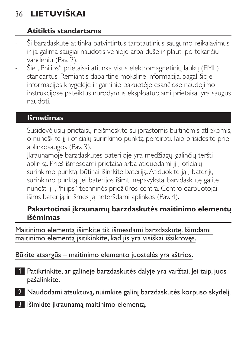# 36 **Lietuviškai**

#### **Atitiktis standartams**

- Ši barzdaskutė atitinka patvirtintus tarptautinius saugumo reikalavimus ir ja galima saugiai naudotis vonioje arba duše ir plauti po tekančiu vandeniu (Pav. 2).
- Šie "Philips" prietaisai atitinka visus elektromagnetinių laukų (EML) standartus. Remiantis dabartine moksline informacija, pagal šioje informacijos knygelėje ir gaminio pakuotėje esančiose naudojimo instrukcijose pateiktus nurodymus eksploatuojami prietaisai yra saugūs naudoti.

#### **Išmetimas**

- Susidėvėjusių prietaisų neišmeskite su įprastomis buitinėmis atliekomis, o nuneškite jį į oficialų surinkimo punktą perdirbti. Taip prisidėsite prie aplinkosaugos (Pav. 3).
- Ikraunamoje barzdaskutės baterijoje yra medžiagų, galinčių teršti aplinką. Prieš išmesdami prietaisą arba atiduodami jį į oficialų surinkimo punktą, būtinai išimkite bateriją. Atiduokite ją į baterijų surinkimo punktą. Jei baterijos išimti nepavyksta, barzdaskutę galite nunešti į "Philips" techninės priežiūros centrą. Centro darbuotojai išims bateriją ir išmes ją neteršdami aplinkos (Pav. 4).

#### **Pakartotinai įkraunamų barzdaskutės maitinimo elementų išėmimas**

Maitinimo elementą išimkite tik išmesdami barzdaskutę. Išimdami maitinimo elementą įsitikinkite, kad jis yra visiškai išsikrovęs.

Būkite atsargūs – maitinimo elemento juostelės yra aštrios.

- 1 Patikrinkite, ar galinėje barzdaskutės dalyje yra varžtai. Jei taip, juos pašalinkite.
- 2 Naudodami atsuktuvą, nuimkite galinį barzdaskutės korpuso skydelį.
- 3 Išimkite įkraunamą maitinimo elementą.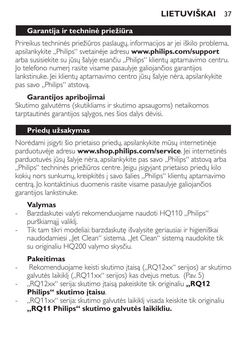#### **Garantija ir techninė priežiūra**

Prireikus techninės priežiūros paslaugų, informacijos ar jei iškilo problema, apsilankykite "Philips" svetainėje adresu www.philips.com/support arba susisiekite su jūsų šalyje esančiu "Philips" klientų aptarnavimo centru. Jo telefono numerį rasite visame pasaulyje galiojančios garantijos lankstinuke. Jei klientų aptarnavimo centro jūsų šalyje nėra, apsilankykite pas savo "Philips" atstovą.

### **Garantijos apribojimai**

Skutimo galvutėms (skutikliams ir skutimo apsaugoms) netaikomos tarptautinės garantijos sąlygos, nes šios dalys dėvisi.

### **Priedų užsakymas**

Norėdami įsigyti šio prietaiso priedų, apsilankykite mūsų internetinėje parduotuvėje adresu **www.shop.philips.com/service**. Jei internetinės parduotuvės jūsų šalyje nėra, apsilankykite pas savo "Philips" atstovą arba "Philips" techninės priežiūros centre. Jeigu įsigyjant prietaiso priedų kilo kokių nors sunkumų, kreipkitės į savo šalies "Philips" klientų aptarnavimo centrą. Jo kontaktinius duomenis rasite visame pasaulyje galiojančios garantijos lankstinuke.

### **Valymas**

- Barzdaskutei valyti rekomenduojame naudoti HQ110 "Philips" purškiamąjį valiklį.
- Tik tam tikri modeliai: barzdaskutę išvalysite geriausiai ir higieniškai naudodamiesi "Jet Clean" sistema. "Jet Clean" sistemą naudokite tik su originaliu HQ200 valymo skysčiu.

## **Pakeitimas**

- Rekomenduojame keisti skutimo įtaisą ("RQ12xx" serijos) ar skutimo galvutės laikiklį ("RO11xx" serijos) kas dvejus metus. (Pav. 5)
- **RQ12**xx" serija: skutimo įtaisą pakeiskite tik originaliu "RQ12 **Philips" skutimo įtaisu**.
- "RQ11xx" serija: skutimo galvutės laikiklį visada keiskite tik originaliu **"RQ11 Philips" skutimo galvutės laikikliu.**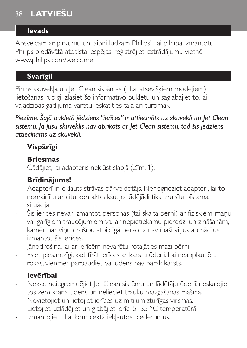## 38 **Latviešu**

#### **Ievads**

Apsveicam ar pirkumu un laipni lūdzam Philips! Lai pilnībā izmantotu Philips piedāvātā atbalsta iespējas, reģistrējiet izstrādājumu vietnē www.philips.com/welcome.

#### **Svarīgi!**

Pirms skuvekļa un ļet Clean sistēmas (tikai atsevišķiem modeļiem) lietošanas rūpīgi izlasiet šo informatīvo bukletu un saglabājiet to, lai vajadzības gadījumā varētu ieskatīties tajā arī turpmāk.

*Piezīme. Šajā bukletā jēdziens "ierīces" ir attiecināts uz skuvekli un Jet Clean sistēmu. Ja jūsu skuveklis nav aprīkots ar Jet Clean sistēmu, tad šis jēdziens attiecināms uz skuvekli.*

## **Vispārīgi**

### **Briesmas**

- Gādājiet, lai adapteris nekļūst slapjš (Zīm. 1).

## **Brīdinājums!**

- Adapterī ir iekļauts strāvas pārveidotājs. Nenogrieziet adapteri, lai to nomainītu ar citu kontaktdakšu, jo tādējādi tiks izraisīta bīstama situācija.
- Šīs ierīces nevar izmantot personas (tai skaitā bērni) ar fiziskiem, maņu vai garīgiem traucējumiem vai ar nepietiekamu pieredzi un zināšanām, kamēr par viņu drošību atbildīgā persona nav īpaši viņus apmācījusi izmantot šīs ierīces.
- Jānodrošina, lai ar ierīcēm nevarētu rotaļāties mazi bērni.
- Esiet piesardzīgi, kad tīrāt ierīces ar karstu ūdeni. Lai neapplaucētu rokas, vienmēr pārbaudiet, vai ūdens nav pārāk karsts.

## **Ievērībai**

- Nekad neiegremdējiet Jet Clean sistēmu un lādētāju ūdenī, neskalojiet tos zem krāna ūdens un nelieciet trauku mazgāšanas mašīnā.
- Novietojiet un lietojiet ierīces uz mitrumizturīgas virsmas.
- Lietojiet, uzlādējiet un glabājiet ierīci 5–35 °C temperatūrā.
- Izmantojiet tikai komplektā iekļautos piederumus.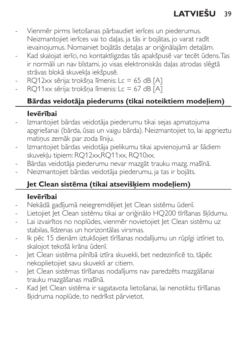# **Latviešu** 39

- Vienmēr pirms lietošanas pārbaudiet ierīces un piederumus. Neizmantojiet ierīces vai to daļas, ja tās ir bojātas, jo varat radīt ievainojumus. Nomainiet bojātās detaļas ar oriģinālajām detaļām.
- Kad skalojat ierīci, no kontaktligzdas tās apakšpusē var tecēt ūdens. Tas ir normāli un nav bīstami, jo visas elektroniskās daļas atrodas slēgtā strāvas blokā skuvekļa iekšpusē.
- $RO12xx$  sērija: trokšņa līmenis: Lc = 65 dB [A]
- $RO11xx$  sērija: trokšņa līmenis: Lc = 67 dB [A]

## **Bārdas veidotāja piederums (tikai noteiktiem modeļiem)**

## **Ievērībai**

- Izmantojiet bārdas veidotāja piederumu tikai sejas apmatojuma apgriešanai (bārda, ūsas un vaigu bārda). Neizmantojiet to, lai apgrieztu matiņus zemāk par zoda līniju.
- Izmantojiet bārdas veidotāja pielikumu tikai apvienojumā ar šādiem skuvekļu tipiem: RQ12xx,RQ11xx, RQ10xx.
- Bārdas veidotāja piederumu nevar mazgāt trauku mazg. mašīnā.
- Neizmantojiet bārdas veidotāja piederumu, ja tas ir bojāts.

## **Jet Clean sistēma (tikai atsevišķiem modeļiem)**

## **Ievērībai**

- Nekādā gadījumā neiegremdējiet let Clean sistēmu ūdenī.
- Lietojiet Jet Clean sistēmu tikai ar oriģinālo HQ200 tīrīšanas šķīdumu.
- Lai izvairītos no noplūdes, vienmēr novietojiet let Clean sistēmu uz stabilas, līdzenas un horizontālas virsmas.
- Ik pēc 15 dienām iztukšojiet tīrīšanas nodalījumu un rūpīgi iztīriet to, skalojot tekošā krāna ūdenī.
- let Clean sistēma pilnībā iztīra skuvekli, bet nedezinficē to, tāpēc nekoplietojiet savu skuvekli ar citiem.
- let Clean sistēmas tīrīšanas nodalījums nav paredzēts mazgāšanai trauku mazgāšanas mašīnā.
- Kad Jet Clean sistēma ir sagatavota lietošanai, lai nenotiktu tīrīšanas šķidruma noplūde, to nedrīkst pārvietot.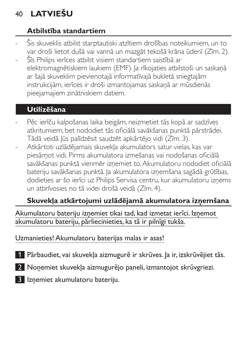## 40 **Latviešu**

### **Atbilstība standartiem**

- Šis skuveklis atbilst starptautiski atzītiem drošības noteikumiem, un to var droši lietot dušā vai vannā un mazgāt tekošā krāna ūdenī (Zīm. 2).
- Šīs Philips ierīces atbilst visiem standartiem saistībā ar elektromagnētiskiem laukiem (EMF). Ja rīkojaties atbilstoši un saskaņā ar šajā skuveklim pievienotajā informatīvajā bukletā sniegtajām instrukcijām, ierīces ir droši izmantojamas saskaņā ar mūsdienās pieejamajiem zinātniskiem datiem.

### **Utilizēšana**

- Pēc ierīču kalpošanas laika beigām, neizmetiet tās kopā ar sadzīves atkritumiem, bet nododiet tās oficiālā savākšanas punktā pārstrādei. Tādā veidā Jūs palīdzēsit saudzēt apkārtējo vidi (Zīm. 3).
- Atkārtoti uzlādējamais skuvekļa akumulators satur vielas, kas var piesārņot vidi. Pirms akumulatora izmešanas vai nodošanas oficiālā savākšanas punktā vienmēr izņemiet to. Akumulatoru nododiet oficiālā bateriju savākšanas punktā. Ja akumulatora izņemšana sagādā grūtības, dodieties ar šo ierīci uz Philips Servisa centru, kur akumulatoru izņems un atbrīvosies no tā videi drošā veidā (Zīm. 4).

## **Skuvekļa atkārtojumi uzlādējamā akumulatora izņemšana**

Akumulatoru bateriju izņemiet tikai tad, kad izmetat ierīci. Izņemot akumulatoru bateriju, pārliecinieties, ka tā ir pilnīgi tukša.

#### Uzmanieties! Akumulatoru baterijas malas ir asas!

- 1 Pārbaudiet, vai skuvekļa aizmugurē ir skrūves. Ja ir, izskrūvējiet tās.
- 2 Noņemiet skuvekļa aizmugurējo paneli, izmantojot skrūvgriezi.
- 3 Izņemiet akumulatoru bateriju.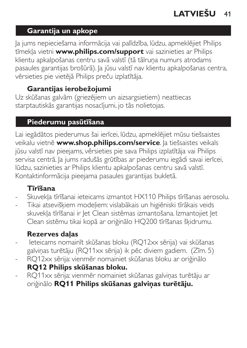#### **Garantija un apkope**

Ja jums nepieciešama informācija vai palīdzība, lūdzu, apmeklējiet Philips tīmekļa vietni **www.philips.com/support** vai sazinieties ar Philips klientu apkalpošanas centru savā valstī (tā tālruņa numurs atrodams pasaules garantijas brošūrā). Ja jūsu valstī nav klientu apkalpošanas centra, vērsieties pie vietējā Philips preču izplatītāja.

#### **Garantijas ierobežojumi**

Uz skūšanas galvām (griezējiem un aizsargsietiem) neattiecas starptautiskās garantijas nosacījumi, jo tās nolietojas.

#### **Piederumu pasūtīšana**

Lai iegādātos piederumus šai ierīcei, lūdzu, apmeklējiet mūsu tiešsaistes veikalu vietnē **www.shop.philips.com/service**. Ja tiešsaistes veikals jūsu valstī nav pieejams, vērsieties pie sava Philips izplatītāja vai Philips servisa centrā. Ja jums radušās grūtības ar piederumu iegādi savai ierīcei, lūdzu, sazinieties ar Philips klientu apkalpošanas centru savā valstī. Kontaktinformācija pieejama pasaules garantijas bukletā.

## **Tīrīšana**

- Skuvekļa tīrīšanai ieteicams izmantot HX110 Philips tīrīšanas aerosolu.
- Tikai atsevišķiem modeļiem: vislabākais un higiēniski tīrākais veids skuvekļa tīrīšanai ir Jet Clean sistēmas izmantošana. Izmantojiet Jet Clean sistēmu tikai kopā ar oriģinālo HQ200 tīrīšanas šķidrumu.

## **Rezerves daļas**

- leteicams nomainīt skūšanas bloku (RQ12xx sērija) vai skūšanas galviņas turētāju (RQ11xx sērija) ik pēc diviem gadiem. (Zīm. 5)
- RQ12xx sērija: vienmēr nomainiet skūšanas bloku ar oriģinālo **RQ12 Philips skūšanas bloku.**
- RQ11xx sērija: vienmēr nomainiet skūšanas galviņas turētāju ar oriģinālo **RQ11 Philips skūšanas galviņas turētāju.**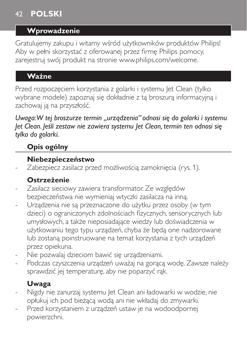### 42 **Polski**

#### **Wprowadzenie**

Gratulujemy zakupu i witamy wśród użytkowników produktów Philips! Aby w pełni skorzystać z oferowanej przez firmę Philips pomocy, zarejestruj swój produkt na stronie www.philips.com/welcome.

#### **Ważne**

Przed rozpoczęciem korzystania z golarki i systemu Jet Clean (tylko wybrane modele) zapoznaj się dokładnie z tą broszurą informacyjną i zachowaj ją na przyszłość.

*Uwaga: W tej broszurze termin "urządzenia" odnosi się do golarki i systemu Jet Clean. Jeśli zestaw nie zawiera systemu Jet Clean, termin ten odnosi się tylko do golarki.*

## **Opis ogólny**

### **Niebezpieczeństwo**

Zabezpiecz zasilacz przed możliwością zamoknięcia (rys. 1).

## **Ostrzeżenie**

- Zasilacz sieciowy zawiera transformator. Ze względów bezpieczeństwa nie wymieniaj wtyczki zasilacza na inną.
- Urządzenia nie są przeznaczone do użytku przez osoby (w tym dzieci) o ograniczonych zdolnościach fizycznych, sensorycznych lub umysłowych, a także nieposiadające wiedzy lub doświadczenia w użytkowaniu tego typu urządzeń, chyba że będą one nadzorowane lub zostaną poinstruowane na temat korzystania z tych urządzeń przez opiekuna.
- Nie pozwalaj dzieciom bawić się urządzeniami.
- Podczas czyszczenia urządzeń uważaj na gorącą wodę. Zawsze należy sprawdzić jej temperaturę, aby nie poparzyć rąk.

## **Uwaga**

- Nigdy nie zanurzaj systemu Jet Clean ani ładowarki w wodzie, nie opłukuj ich pod bieżącą wodą ani nie wkładaj do zmywarki.
- Przed korzystaniem z urządzeń ustaw je na wodoodpornej powierzchni.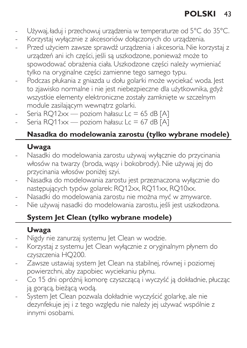- Używaj, ładuj i przechowuj urządzenia w temperaturze od 5°C do 35°C.
- Korzystaj wyłącznie z akcesoriów dołączonych do urządzenia.
- Przed użyciem zawsze sprawdź urządzenia i akcesoria. Nie korzystaj z urządzeń ani ich części, jeśli są uszkodzone, ponieważ może to spowodować obrażenia ciała. Uszkodzone części należy wymieniać tylko na oryginalne części zamienne tego samego typu.
- Podczas płukania z gniazda u dołu golarki może wyciekać woda. Jest to zjawisko normalne i nie jest niebezpieczne dla użytkownika, gdyż wszystkie elementy elektroniczne zostały zamknięte w szczelnym module zasilającym wewnątrz golarki.
- Seria RQ12 $x$ x poziom hałasu: Lc = 65 dB [A]
- Seria RQ11 $x$ x poziom hałasu: Lc = 67 dB  $\overline{[A]}$

## **Nasadka do modelowania zarostu (tylko wybrane modele)**

## **Uwaga**

- Nasadki do modelowania zarostu używaj wyłącznie do przycinania włosów na twarzy (broda, wąsy i bokobrody). Nie używaj jej do przycinania włosów poniżej szyi.
- Nasadka do modelowania zarostu jest przeznaczona wyłącznie do następujących typów golarek: RQ12xx, RQ11xx, RQ10xx.
- Nasadki do modelowania zarostu nie można myć w zmywarce.
- Nie używaj nasadki do modelowania zarostu, jeśli jest uszkodzona.

## **System Jet Clean (tylko wybrane modele)**

## **Uwaga**

- Nigdy nie zanurzaj systemu let Clean w wodzie.
- Korzystaj z systemu Jet Clean wyłącznie z oryginalnym płynem do czyszczenia HQ200.
- Zawsze ustawiaj system let Clean na stabilnej, równej i poziomej powierzchni, aby zapobiec wyciekaniu płynu.
- Co 15 dni opróżnij komorę czyszczącą i wyczyść ją dokładnie, płucząc ją gorącą, bieżącą wodą.
- System Jet Clean pozwala dokładnie wyczyścić golarkę, ale nie dezynfekuje jej i z tego względu nie należy jej używać wspólnie z innymi osobami.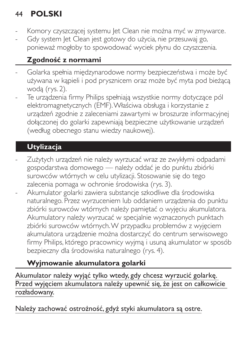## 44 **Polski**

- Komory czyszczącej systemu let Clean nie można myć w zmywarce.
- Gdy system Jet Clean jest gotowy do użycia, nie przesuwaj go, ponieważ mogłoby to spowodować wyciek płynu do czyszczenia.

## **Zgodność z normami**

- Golarka spełnia międzynarodowe normy bezpieczeństwa i może być używana w kąpieli i pod prysznicem oraz może być myta pod bieżącą wodą (rys. 2).
- Te urządzenia firmy Philips spełniają wszystkie normy dotyczące pól elektromagnetycznych (EMF). Właściwa obsługa i korzystanie z urządzeń zgodnie z zaleceniami zawartymi w broszurze informacyjnej dołączonej do golarki zapewniają bezpieczne użytkowanie urządzeń (według obecnego stanu wiedzy naukowej).

## **Utylizacja**

- Zużytych urządzeń nie należy wyrzucać wraz ze zwykłymi odpadami gospodarstwa domowego — należy oddać je do punktu zbiórki surowców wtórnych w celu utylizacji. Stosowanie się do tego zalecenia pomaga w ochronie środowiska (rys. 3).
- Akumulator golarki zawiera substancje szkodliwe dla środowiska naturalnego. Przez wyrzuceniem lub oddaniem urządzenia do punktu zbiórki surowców wtórnych należy pamiętać o wyjęciu akumulatora. Akumulatory należy wyrzucać w specjalnie wyznaczonych punktach zbiórki surowców wtórnych. W przypadku problemów z wyjęciem akumulatora urządzenie można dostarczyć do centrum serwisowego firmy Philips, którego pracownicy wyjmą i usuną akumulator w sposób bezpieczny dla środowiska naturalnego (rys. 4).

### **Wyjmowanie akumulatora golarki**

Akumulator należy wyjąć tylko wtedy, gdy chcesz wyrzucić golarkę. Przed wyjęciem akumulatora należy upewnić się, że jest on całkowicie rozładowany.

Należy zachować ostrożność, gdyż styki akumulatora są ostre.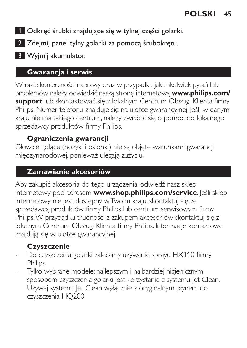- 1 Odkreć śrubki znajdujące się w tylnej części golarki.
- 2 Zdeimij panel tylny golarki za pomoca śrubokretu.
- 3 Wyjmij akumulator.

#### **Gwarancja i serwis**

W razie konieczności naprawy oraz w przypadku jakichkolwiek pytań lub problemów należy odwiedzić naszą stronę internetową **www.philips.com/ support** lub skontaktować się z lokalnym Centrum Obsługi Klienta firmy Philips. Numer telefonu znajduje się na ulotce gwarancyjnej. Jeśli w danym kraju nie ma takiego centrum, należy zwrócić się o pomoc do lokalnego sprzedawcy produktów firmy Philips.

#### **Ograniczenia gwarancji**

Głowice golące (nożyki i osłonki) nie są objęte warunkami gwarancji międzynarodowej, ponieważ ulegają zużyciu.

#### **Zamawianie akcesoriów**

Aby zakupić akcesoria do tego urządzenia, odwiedź nasz sklep internetowy pod adresem **www.shop.philips.com/service**. Jeśli sklep internetowy nie jest dostępny w Twoim kraju, skontaktuj się ze sprzedawcą produktów firmy Philips lub centrum serwisowym firmy Philips. W przypadku trudności z zakupem akcesoriów skontaktuj się z lokalnym Centrum Obsługi Klienta firmy Philips. Informacje kontaktowe znajdują się w ulotce gwarancyjnej.

## **Czyszczenie**

- Do czyszczenia golarki zalecamy używanie sprayu HX110 firmy Philips.
- Tylko wybrane modele: najlepszym i najbardziej higienicznym sposobem czyszczenia golarki jest korzystanie z systemu Jet Clean. Używaj systemu Jet Clean wyłącznie z oryginalnym płynem do czyszczenia HQ200.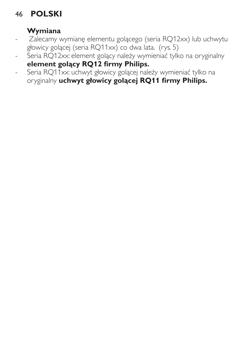## 46 **Polski**

## **Wymiana**

- Zalecamy wymianę elementu golącego (seria RQ12xx) lub uchwytu głowicy golącej (seria RQ11xx) co dwa lata. (rys. 5)
- Seria RQ12xx: element golący należy wymieniać tylko na oryginalny **element golący RQ12 firmy Philips.**
- Seria RQ11xx: uchwyt głowicy golącej należy wymieniać tylko na oryginalny **uchwyt głowicy golącej RQ11 firmy Philips.**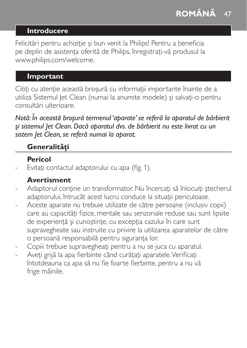#### **Introducere**

Felicitări pentru achizitie și bun venit la Philips! Pentru a beneficia pe deplin de asistenţa oferită de Philips, înregistraţi-vă produsul la www.philips.com/welcome.

#### **Important**

Citiți cu atenție această broșură cu informații importante înainte de a utiliza Sistemul Jet Clean (numai la anumite modele) și salvati-o pentru consultări ulterioare.

*Notă: În această broşură termenul 'aparate' se referă la aparatul de bărbierit şi sistemul Jet Clean. Dacă aparatul dvs. de bărbierit nu este livrat cu un sistem Jet Clean, se referă numai la aparat.*

### **Generalităţi**

## **Pericol**

Evitați contactul adaptorului cu apa (fig. 1).

## **Avertisment**

- Adaptorul contine un transformator. Nu încercați să înlocuiți ștecherul adaptorului, întrucât acest lucru conduce la situatii periculoase.
- Aceste aparate nu trebuie utilizate de către persoane (inclusiv copii) care au capacități fizice, mentale sau senzoriale reduse sau sunt lipsite de experienţă şi cunoştinţe, cu excepţia cazului în care sunt supravegheate sau instruite cu privire la utilizarea aparatelor de către o persoană responsabilă pentru siguranța lor.
- Copiii trebuie supravegheati pentru a nu se juca cu aparatul.
- Aveti grijă la apa fierbinte când curătați aparatele. Verificați întotdeauna ca apa să nu fie foarte fierbinte, pentru a nu vă frige mâinile.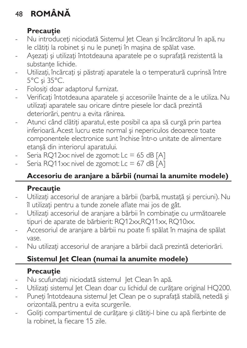### **Precauţie**

- Nu introduceți niciodată Sistemul Jet Clean și încărcătorul în apă, nu le clătiti la robinet și nu le puneți în mașina de spălat vase.
- Asezați și utilizați întotdeauna aparatele pe o suprafață rezistentă la substante lichide.
- Utilizați, încărcați și păstrați aparatele la o temperatură cuprinsă între 5°C şi 35°C.
- Folositi doar adaptorul furnizat.
- Verificati întotdeauna aparatele și accesoriile înainte de a le utiliza. Nu utilizaţi aparatele sau oricare dintre piesele lor dacă prezintă deteriorări, pentru a evita rănirea.
- Atunci când clătiti aparatul, este posibil ca apa să curgă prin partea inferioară. Acest lucru este normal şi nepericulos deoarece toate componentele electronice sunt închise într-o unitate de alimentare etanşă din interiorul aparatului.
- Seria RO12 $\times$ x: nivel de zgomot: Lc = 65 dB [A]
- Seria RO11 $\times$ : nivel de zgomot: Lc = 67 dB [A]

## **Accesoriu de aranjare a bărbii (numai la anumite modele)**

## **Precauţie**

- Utilizați accesoriul de aranjare a bărbii (barbă, mustață și perciuni). Nu îl utilizaţi pentru a tunde zonele aflate mai jos de gât.
- Utilizați accesoriul de aranjare a bărbii în combinație cu următoarele tipuri de aparate de bărbierit: RQ12xx,RO11xx, RO10xx.
- Accesoriul de aranjare a bărbii nu poate fi spălat în maşina de spălat vase.
- Nu utilizati accesoriul de aranjare a bărbii dacă prezintă deteriorări.

## **Sistemul Jet Clean (numai la anumite modele)**

## **Precauţie**

- Nu scufundați niciodată sistemul Jet Clean în apă.
- Utilizați sistemul let Clean doar cu lichidul de curătare original HQ200.
- Puneți întotdeauna sistemul Jet Clean pe o suprafață stabilă, netedă și orizontală, pentru a evita scurgerile.
- Goliți compartimentul de curățare și clătiți-l bine cu apă fierbinte de la robinet, la fiecare 15 zile.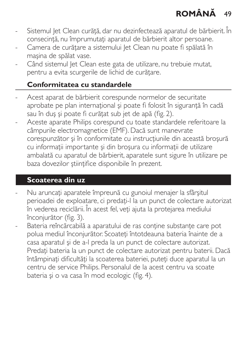- Sistemul let Clean curăță, dar nu dezinfectează aparatul de bărbierit. În consecinţă, nu împrumutaţi aparatul de bărbierit altor persoane.
- Camera de curătare a sistemului let Clean nu poate fi spălată în maşina de spălat vase.
- Când sistemul let Clean este gata de utilizare, nu trebuie mutat, pentru a evita scurgerile de lichid de curătare.

### **Conformitatea cu standardele**

- Acest aparat de bărbierit corespunde normelor de securitate aprobate pe plan internaţional şi poate fi folosit în siguranţă în cadă sau în duș și poate fi curățat sub jet de apă (fig. 2).
- Aceste aparate Philips corespund cu toate standardele referitoare la câmpurile electromagnetice (EMF). Dacă sunt manevrate corespunzător şi în conformitate cu instrucţiunile din această broşură cu informatii importante și din broșura cu informatii de utilizare ambalată cu aparatul de bărbierit, aparatele sunt sigure în utilizare pe baza dovezilor ştiinţifice disponibile în prezent.

#### **Scoaterea din uz**

- Nu aruncați aparatele împreună cu gunoiul menajer la sfârșitul perioadei de exploatare, ci predaţi-l la un punct de colectare autorizat în vederea reciclării. În acest fel, veţi ajuta la protejarea mediului înconjurător (fig. 3).
- Bateria reîncărcabilă a aparatului de ras conține substanțe care pot polua mediul înconjurător. Scoateţi întotdeauna bateria înainte de a casa aparatul şi de a-l preda la un punct de colectare autorizat. Predaţi bateria la un punct de colectare autorizat pentru baterii. Dacă întâmpinați dificultăți la scoaterea bateriei, puteți duce aparatul la un centru de service Philips. Personalul de la acest centru va scoate bateria şi o va casa în mod ecologic (fig. 4).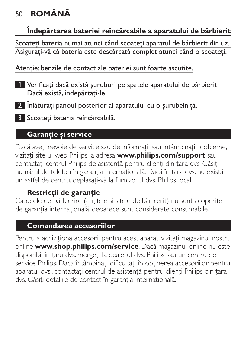#### **Îndepărtarea bateriei reîncărcabile a aparatului de bărbierit**

Scoateti bateria numai atunci când scoateti aparatul de bărbierit din uz. Asiguraţi-vă că bateria este descărcată complet atunci când o scoateţi.

Atenție: benzile de contact ale bateriei sunt foarte ascutite.

- 1 Verificati dacă există suruburi pe spatele aparatului de bărbierit. Dacă există, îndepărtaţi-le.
- 2 Înlăturaţi panoul posterior al aparatului cu o şurubelniţă.
- 3 Scoateţi bateria reîncărcabilă.

#### **Garanţie şi service**

Dacă aveti nevoie de service sau de informatii sau întâmpinati probleme, vizitati site-ul web Philips la adresa **www.philips.com/support** sau contactaţi centrul Philips de asistenţă pentru clienţi din ţara dvs. Găsiţi numărul de telefon în garanția internațională. Dacă în tara dvs. nu există un astfel de centru, deplasați-vă la furnizorul dys. Philips local.

#### **Restricţii de garanţie**

Capetele de bărbierire (cuţitele şi sitele de bărbierit) nu sunt acoperite de garanția internațională, deoarece sunt considerate consumabile.

#### **Comandarea accesoriilor**

Pentru a achizitiona accesorii pentru acest aparat, vizitati magazinul nostru online **www.shop.philips.com/service**. Dacă magazinul online nu este disponibil în tara dvs.,mergeti la dealerul dvs. Philips sau un centru de service Philips. Dacă întâmpinați dificultăți în obținerea accesoriilor pentru aparatul dvs., contactati centrul de asistentă pentru clienți Philips din tara dvs. Găsiţi detaliile de contact în garanţia internaţională.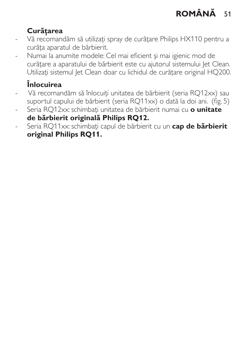## **Curăţarea**

- Vă recomandăm să utilizați spray de curățare Philips HX110 pentru a curăta aparatul de bărbierit.
- Numai la anumite modele: Cel mai eficient şi mai igienic mod de curățare a aparatului de bărbierit este cu ajutorul sistemului let Clean. Utilizați sistemul let Clean doar cu lichidul de curătare original HQ200.

## **Înlocuirea**

- Vă recomandăm să înlocuiți unitatea de bărbierit (seria RQ12xx) sau suportul capului de bărbierit (seria RQ11xx) o dată la doi ani. (fig. 5)
- Seria RO12xx: schimbati unitatea de bărbierit numai cu **o unitate de bărbierit originală Philips RQ12.**
- Seria RQ11xx: schimbaţi capul de bărbierit cu un **cap de bărbierit original Philips RQ11.**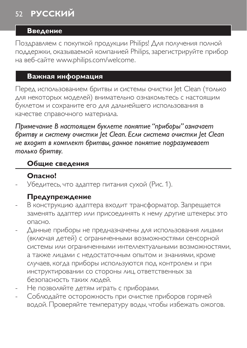## 52 **Русский**

#### **Введение**

Поздравляем с покупкой продукции Philips! Для получения полной поддержки, оказываемой компанией Philips, зарегистрируйте прибор на веб-сайте www.philips.com/welcome.

#### **Важная информация**

Перед использованием бритвы и системы очистки Jet Clean (только для некоторых моделей) внимательно ознакомьтесь с настоящим буклетом и сохраните его для дальнейшего использования в качестве справочного материала.

*Примечание В настоящем буклете понятие "приборы" означает бритву и систему очистки Jet Clean. Если система очистки Jet Clean не входит в комплект бритвы, данное понятие подразумевает только бритву.*

#### **Общие сведения**

#### **Опасно!**

- Убедитесь, что адаптер питания сухой (Рис. 1).

#### **Предупреждение**

- В конструкцию адаптера входит трансформатор. Запрещается заменять адаптер или присоединять к нему другие штекеры: это опасно.
- Данные приборы не предназначены для использования лицами (включая детей) с ограниченными возможностями сенсорной системы или ограниченными интеллектуальными возможностями, а также лицами с недостаточным опытом и знаниями, кроме случаев, когда приборы используются под контролем и при инструктировании со стороны лиц, ответственных за безопасность таких людей.
- Не позволяйте детям играть с приборами.
- Соблюдайте осторожность при очистке приборов горячей водой. Проверяйте температуру воды, чтобы избежать ожогов.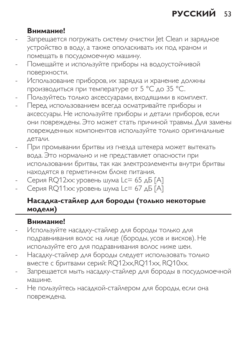#### **Внимание!**

- Запрещается погружать систему очистки let Clean и зарядное устройство в воду, а также ополаскивать их под краном и помещать в посудомоечную машину.
- Помещайте и используйте приборы на водоустойчивой поверхности.
- Использование приборов, их зарядка и хранение должны производиться при температуре от 5 °C до 35 °C.
- Пользуйтесь только аксессуарами, входящими в комплект.
- Перед использованием всегда осматривайте приборы и аксессуары. Не используйте приборы и детали приборов, если они повреждены. Это может стать причиной травмы. Для замены поврежденных компонентов используйте только оригинальные детали.
- При промывании бритвы из гнезда штекера может вытекать вода. Это нормально и не представляет опасности при использовании бритвы, так как электроэлементы внутри бритвы находятся в герметичном блоке питания.
- Серия RQ12xx: уровень шума Lc= 65 дБ [A]
- Серия RQ11xx: уровень шума Lc= 67 дБ [A]

#### **Насадка-стайлер для бороды (только некоторые модели)**

#### **Внимание!**

- Используйте насадку-стайлер для бороды только для подравнивания волос на лице (бороды, усов и висков). Не используйте его для подравнивания волос ниже шеи.
- Насадку-стайлер для бороды следует использовать только вместе с бритвами серий: RO12xx,RO11xx, RO10xx,
- Запрещается мыть насадку-стайлер для бороды в посудомоечной машине.
- Не пользуйтесь насадкой-стайлером для бороды, если она повреждена.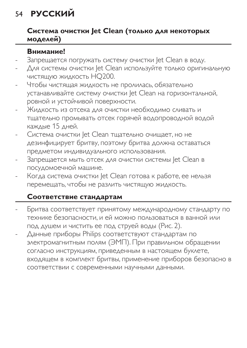# 54 **Русский**

#### **Система очистки Jet Clean (только для некоторых моделей)**

#### **Внимание!**

- Запрещается погружать систему очистки let Clean в воду.
- Для системы очистки let Clean используйте только оригинальную чистящую жидкость HQ200.
- Чтобы чистящая жидкость не пролилась, обязательно устанавливайте систему очистки Jet Clean на горизонтальной, ровной и устойчивой поверхности.
- Жидкость из отсека для очистки необходимо сливать и тщательно промывать отсек горячей водопроводной водой каждые 15 дней.
- Система очистки Jet Clean тщательно очищает, но не дезинфицирует бритву, поэтому бритва должна оставаться предметом индивидуального использования.
- Запрещается мыть отсек для очистки системы let Clean в посудомоечной машине.
- Когда система очистки Jet Clean готова к работе, ее нельзя перемещать, чтобы не разлить чистящую жидкость.

#### **Соответствие стандартам**

- Бритва соответствует принятому международному стандарту по технике безопасности, и ей можно пользоваться в ванной или под душем и чистить ее под струей воды (Рис. 2).
- Данные приборы Philips соответствуют стандартам по электромагнитным полям (ЭМП). При правильном обращении согласно инструкциям, приведенным в настоящем буклете, входящем в комплект бритвы, применение приборов безопасно в соответствии с современными научными данными.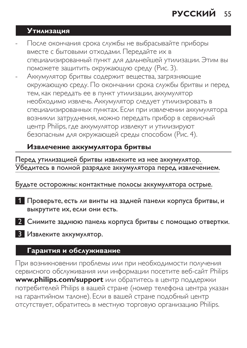#### **Утилизация**

- После окончания срока службы не выбрасывайте приборы вместе с бытовыми отходами. Передайте их в специализированный пункт для дальнейшей утилизации. Этим вы поможете защитить окружающую среду (Рис. 3).
- Аккумулятор бритвы содержит вещества, загрязняющие окружающую среду. По окончании срока службы бритвы и перед тем, как передать ее в пункт утилизации, аккумулятор необходимо извлечь. Аккумулятор следует утилизировать в специализированных пунктах. Если при извлечении аккумулятора возникли затруднения, можно передать прибор в сервисный центр Philips, где аккумулятор извлекут и утилизируют безопасным для окружающей среды способом (Рис. 4).

#### **Извлечение аккумулятора бритвы**

Перед утилизацией бритвы извлеките из нее аккумулятор. Убедитесь в полной разрядке аккумулятора перед извлечением.

#### Будьте осторожны: контактные полосы аккумулятора острые.

- 1 Проверьте, есть ли винты на задней панели корпуса бритвы, и выкрутите их, если они есть.
- 2 Снимите заднюю панель корпуса бритвы с помощью отвертки.
- 3 Извлеките аккумулятор.

#### **Гарантия и обслуживание**

При возникновении проблемы или при необходимости получения сервисного обслуживания или информации посетите веб-сайт Philips **www.philips.com/support** или обратитесь в центр поддержки потребителей Philips в вашей стране (номер телефона центра указан на гарантийном талоне). Если в вашей стране подобный центр отсутствует, обратитесь в местную торговую организацию Philips.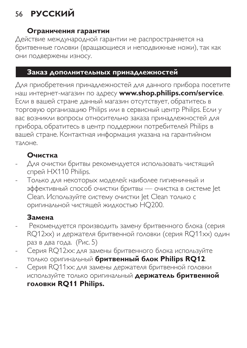# 56 **Русский**

#### **Ограничения гарантии**

Действие международной гарантии не распространяется на бритвенные головки (вращающиеся и неподвижные ножи), так как они подвержены износу.

#### **Заказ дополнительных принадлежностей**

Для приобретения принадлежностей для данного прибора посетите наш интернет-магазин по адресу **www.shop.philips.com/service**. Если в вашей стране данный магазин отсутствует, обратитесь в торговую организацию Philips или в сервисный центр Philips. Если у вас возникли вопросы относительно заказа принадлежностей для прибора, обратитесь в центр поддержки потребителей Philips в вашей стране. Контактная информация указана на гарантийном талоне.

### **Очистка**

- Для очистки бритвы рекомендуется использовать чистящий спрей HX110 Philips.
- Только для некоторых моделей: наиболее гигиеничный и эффективный способ очистки бритвы — очистка в системе Jet Clean. Используйте систему очистки Jet Clean только с оригинальной чистящей жидкостью HQ200.

### **Замена**

- Рекомендуется производить замену бритвенного блока (серия RQ12xx) и держателя бритвенной головки (серия RQ11xx) один раз в два года. (Рис. 5)
- Серия RQ12xx: для замены бритвенного блока используйте только оригинальный **бритвенный блок Philips RQ12**.
- Серия RQ11xx: для замены держателя бритвенной головки используйте только оригинальный **держатель бритвенной головки RQ11 Philips.**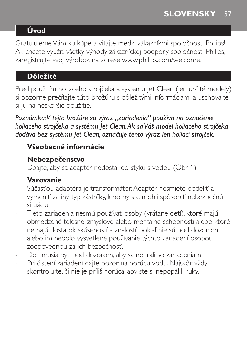### **Úvod**

Gratulujeme Vám ku kúpe a vitajte medzi zákazníkmi spoločnosti Philips! Ak chcete využiť všetky výhody zákazníckej podpory spoločnosti Philips, zaregistrujte svoj výrobok na adrese www.philips.com/welcome.

#### **Dôležité**

Pred použitím holiaceho strojčeka a systému Jet Clean (len určité modely) si pozorne prečítajte túto brožúru s dôležitými informáciami a uschovajte si ju na neskoršie použitie.

*Poznámka: V tejto brožúre sa výraz "zariadenia" používa na označenie holiaceho strojčeka a systému Jet Clean. Ak sa Váš model holiaceho strojčeka dodáva bez systému Jet Clean, označuje tento výraz len holiaci strojček.*

### **Všeobecné informácie**

### **Nebezpečenstvo**

Dbajte, aby sa adaptér nedostal do styku s vodou (Obr. 1).

### **Varovanie**

- Súčasťou adaptéra je transformátor. Adaptér nesmiete oddeliť a vymeniť za iný typ zástrčky, lebo by ste mohli spôsobiť nebezpečnú situáciu.
- Tieto zariadenia nesmú používať osoby (vrátane detí), ktoré majú obmedzené telesné, zmyslové alebo mentálne schopnosti alebo ktoré nemajú dostatok skúseností a znalostí, pokiaľ nie sú pod dozorom alebo im nebolo vysvetlené používanie týchto zariadení osobou zodpovednou za ich bezpečnosť.
- Deti musia byť pod dozorom, aby sa nehrali so zariadeniami.
- Pri čistení zariadení dajte pozor na horúcu vodu. Najskôr vždy skontrolujte, či nie je príliš horúca, aby ste si nepopálili ruky.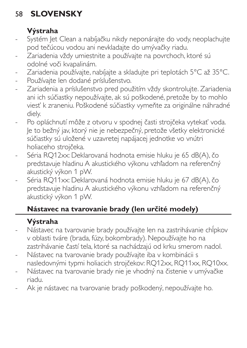## 58 **Slovensky**

## **Výstraha**

- Systém Jet Clean a nabíjačku nikdy neponárajte do vody, neoplachujte pod tečúcou vodou ani nevkladajte do umývačky riadu.
- Zariadenia vždy umiestnite a používajte na povrchoch, ktoré sú odolné voči kvapalinám.
- Zariadenia používajte, nabíjajte a skladujte pri teplotách 5°C až 35°C.
- Používajte len dodané príslušenstvo.
- Zariadenia a príslušenstvo pred použitím vždy skontrolujte. Zariadenia ani ich súčiastky nepoužívajte, ak sú poškodené, pretože by to mohlo viesť k zraneniu. Poškodené súčiastky vymeňte za originálne náhradné diely.
- Po opláchnutí môže z otvoru v spodnej časti strojčeka vytekať voda. Je to bežný jav, ktorý nie je nebezpečný, pretože všetky elektronické súčiastky sú uložené v uzavretej napájacej jednotke vo vnútri holiaceho strojčeka.
- Séria RQ12xx: Deklarovaná hodnota emisie hluku je 65 dB(A), čo predstavuje hladinu A akustického výkonu vzhľadom na referenčný akustický výkon 1 pW.
- Séria RO11xx: Deklarovaná hodnota emisie hluku je 67 dB(A), čo predstavuje hladinu A akustického výkonu vzhľadom na referenčný akustický výkon 1 pW.

## **Nástavec na tvarovanie brady (len určité modely)**

## **Výstraha**

- Nástavec na tvarovanie brady používajte len na zastrihávanie chĺpkov v oblasti tváre (brada, fúzy, bokombrady). Nepoužívajte ho na zastrihávanie častí tela, ktoré sa nachádzajú od krku smerom nadol.
- Nástavec na tvarovanie brady používajte iba v kombinácii s nasledovnými typmi holiacich strojčekov: RQ12xx, RQ11xx, RQ10xx.
- Nástavec na tvarovanie brady nie je vhodný na čistenie v umývačke riadu.
- Ak je nástavec na tvarovanie brady poškodený, nepoužívajte ho.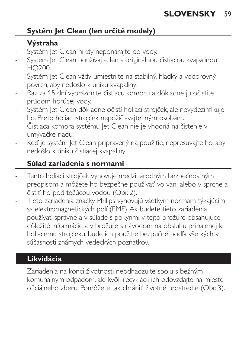### **Systém Jet Clean (len určité modely)**

## **Výstraha**

- Systém Jet Clean nikdy neponárajte do vody.
- Systém Jet Clean používajte len s originálnou čistiacou kvapalinou HQ200.
- Systém let Clean vždy umiestnite na stabilný, hladký a vodorovný povrch, aby nedošlo k úniku kvapaliny.
- Raz za 15 dní vyprázdnite čistiacu komoru a dôkladne ju očistite prúdom horúcej vody.
- Systém Jet Clean dôkladne očistí holiaci strojček, ale nevydezinfikuje ho. Preto holiaci strojček nepožičiavajte iným osobám.
- Čistiaca komora systému Jet Clean nie je vhodná na čistenie v umývačke riadu.
- Keď je systém Jet Clean pripravený na použitie, nepresúvajte ho, aby nedošlo k úniku čistiacej kvapaliny.

## **Súlad zariadenia s normami**

- Tento holiaci strojček vyhovuje medzinárodným bezpečnostným predpisom a môžete ho bezpečne používať vo vani alebo v sprche a čistiť ho pod tečúcou vodou (Obr. 2).
- Tieto zariadenia značky Philips vyhovujú všetkým normám týkajúcim sa elektromagnetických polí (EMF). Ak budete tieto zariadenia používať správne a v súlade s pokynmi v tejto brožúre obsahujúcej dôležité informácie a v brožúre s návodom na obsluhu pribalenej k holiacemu strojčeku, bude ich použitie bezpečné podľa všetkých v súčasnosti známych vedeckých poznatkov.

## **Likvidácia**

Zariadenia na konci životnosti neodhadzujte spolu s bežným komunálnym odpadom, ale kvôli recyklácii ich odovzdajte na mieste oficiálneho zberu. Pomôžete tak chrániť životné prostredie (Obr. 3).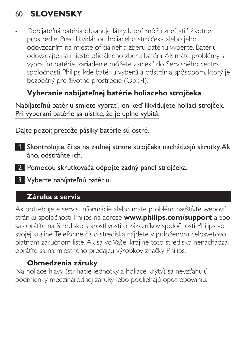## 60 **Slovensky**

- Dobíjateľná batéria obsahuje látky, ktoré môžu znečistiť životné prostredie. Pred likvidáciou holiaceho strojčeka alebo jeho odovzdaním na mieste oficiálneho zberu batériu vyberte. Batériu odovzdajte na mieste oficiálneho zberu batérií. Ak máte problémy s vybratím batérie, zariadenie môžete zaniesť do Servisného centra spoločnosti Philips, kde batériu vyberú a odstránia spôsobom, ktorý je bezpečný pre životné prostredie (Obr. 4).

### **Vyberanie nabíjateľnej batérie holiaceho strojčeka**

Nabíjateľnú batériu smiete vybrať, len keď likvidujete holiaci strojček. Pri vyberaní batérie sa uistite, že je úplne vybitá.

Dajte pozor, pretože pásiky batérie sú ostré.

- 1 Skontrolujte, či sa na zadnej strane strojčeka nachádzajú skrutky. Ak áno, odstráňte ich.
- 2 Pomocou skrutkovača odpojte zadný panel strojčeka.
- **3** Vyberte nabíjateľnú batériu.

#### **Záruka a servis**

Ak potrebujete servis, informácie alebo máte problém, navštívte webovú stránku spoločnosti Philips na adrese **www.philips.com/support** alebo sa obráťte na Stredisko starostlivosti o zákazníkov spoločnosti Philips vo svojej krajine. Telefónne číslo strediska nájdete v priloženom celosvetovo platnom záručnom liste. Ak sa vo Vašej krajine toto stredisko nenachádza, obráťte sa na miestneho predajcu výrobkov značky Philips.

#### **Obmedzenia záruky**

Na holiace hlavy (strihacie jednotky a holiace kryty) sa nevzťahujú podmienky medzinárodnej záruky, lebo podliehajú opotrebovaniu.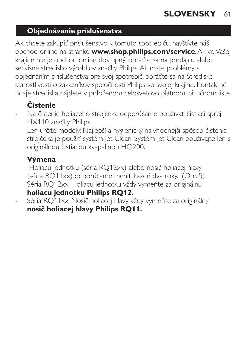### **Objednávanie príslušenstva**

Ak chcete zakúpiť príslušenstvo k tomuto spotrebiču, navštívte náš obchod online na stránke **www.shop.philips.com/service**. Ak vo Vašej krajine nie je obchod online dostupný, obráťte sa na predajcu alebo servisné stredisko výrobkov značky Philips. Ak máte problémy s objednaním príslušenstva pre svoj spotrebič, obráťte sa na Stredisko starostlivosti o zákazníkov spoločnosti Philips vo svojej krajine. Kontaktné údaje strediska nájdete v priloženom celosvetovo platnom záručnom liste.

## **Čistenie**

- Na čistenie holiaceho strojčeka odporúčame používať čistiaci sprej HX110 značky Philips.
- Len určité modely: Najlepší a hygienicky najvhodnejší spôsob čistenia strojčeka je použiť systém Jet Clean. Systém Jet Clean používajte len s originálnou čistiacou kvapalinou HQ200.

## **Výmena**

- Holiacu jednotku (séria RQ12xx) alebo nosič holiacej hlavy (séria RQ11xx) odporúčame meniť každé dva roky. (Obr. 5)
- Séria RQ12xx: Holiacu jednotku vždy vymeňte za originálnu **holiacu jednotku Philips RQ12.**
- Séria RQ11xx: Nosič holiacej hlavy vždy vymeňte za originálny **nosič holiacej hlavy Philips RQ11.**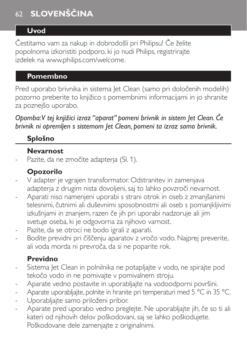# 62 **Slovenščina**

#### **Uvod**

Čestitamo vam za nakup in dobrodošli pri Philipsu! Če želite popolnoma izkoristiti podporo, ki jo nudi Philips, registrirajte izdelek na www.philips.com/welcome.

#### **Pomembno**

Pred uporabo brivnika in sistema Jet Clean (samo pri določenih modelih) pozorno preberite to knjižico s pomembnimi informacijami in jo shranite za poznejšo uporabo.

*Opomba: V tej knjižici izraz "aparat" pomeni brivnik in sistem Jet Clean. Če brivnik ni opremljen s sistemom Jet Clean, pomeni ta izraz samo brivnik.*

## **Splošno**

### **Nevarnost**

Pazite, da ne zmočite adapteria (Sl. 1).

## **Opozorilo**

- V adapter je vgrajen transformator. Odstranitev in zamenjava adapterja z drugim nista dovoljeni, saj to lahko povzroči nevarnost.
- Aparati niso namenjeni uporabi s strani otrok in oseb z zmanjšanimi telesnimi, čutnimi ali duševnimi sposobnostmi ali oseb s pomanjkljivimi izkušnjami in znanjem, razen če jih pri uporabi nadzoruje ali jim svetuje oseba, ki je odgovorna za njihovo varnost.
- Pazite, da se otroci ne bodo igrali z aparati.
- Bodite previdni pri čiščenju aparatov z vročo vodo. Najprej preverite, ali voda morda ni prevroča, da si ne poparite rok.

## **Previdno**

- Sistema Jet Clean in polnilnika ne potapljajte v vodo, ne spirajte pod tekočo vodo in ne pomivajte v pomivalnem stroju.
- Aparate vedno postavite in uporabljajte na vodoodporni površini.
- Aparate uporabliajte, polnite in hranite pri temperaturi med 5 °C in 35 °C.
- Uporabliajte samo priloženi pribor.
- Aparate pred uporabo vedno preglejte. Ne uporabljajte jih, če so ti ali kateri od njihovih delov poškodovani, saj se lahko poškodujete. Poškodovane dele zamenjajte z originalnimi.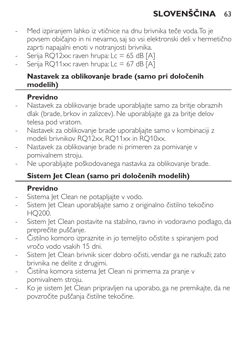# **Slovenščina** 63

- Med izpiraniem lahko iz vtičnice na dnu brivnika teče voda. To je povsem običajno in ni nevarno, saj so vsi elektronski deli v hermetično zaprti napajalni enoti v notranjosti brivnika.
- Serija RO12xx: raven hrupa: Lc = 65 dB [A]
- Serija RO11 $xx$ : raven hrupa: Lc = 67 dB [A]

#### **Nastavek za oblikovanje brade (samo pri določenih modelih)**

### **Previdno**

- Nastavek za oblikovanje brade uporabljajte samo za britje obraznih dlak (brade, brkov in zalizcev). Ne uporabljajte ga za britje delov telesa pod vratom.
- Nastavek za oblikovanje brade uporabljajte samo v kombinaciji z modeli brivnikov RQ12xx, RQ11xx in RQ10xx.
- Nastavek za oblikovanje brade ni primeren za pomivanje v pomivalnem stroju.
- Ne uporabljajte poškodovanega nastavka za oblikovanje brade.

## **Sistem Jet Clean (samo pri določenih modelih)**

#### **Previdno**

- Sistema let Clean ne potapliajte v vodo.
- Sistem Jet Clean uporabljajte samo z originalno čistilno tekočino HQ200.
- Sistem Jet Clean postavite na stabilno, ravno in vodoravno podlago, da preprečite puščanje.
- Čistilno komoro izpraznite in jo temeljito očistite s spiranjem pod vročo vodo vsakih 15 dni.
- Sistem Jet Clean brivnik sicer dobro očisti, vendar ga ne razkuži; zato brivnika ne delite z drugimi.
- Čistilna komora sistema let Clean ni primerna za pranje v pomivalnem stroju.
- Ko je sistem let Clean pripravljen na uporabo, ga ne premikajte, da ne povzročite puščanja čistilne tekočine.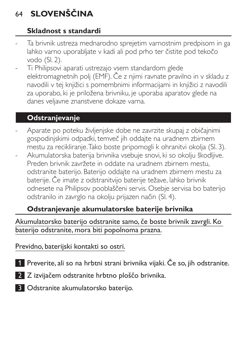# 64 **Slovenščina**

#### **Skladnost s standardi**

- Ta brivnik ustreza mednarodno sprejetim varnostnim predpisom in ga lahko varno uporabljate v kadi ali pod prho ter čistite pod tekočo vodo (Sl. 2).
- Ti Philipsovi aparati ustrezajo vsem standardom glede elektromagnetnih polj (EMF). Če z njimi ravnate pravilno in v skladu z navodili v tej knjižici s pomembnimi informacijami in knjižici z navodili za uporabo, ki je priložena brivniku, je uporaba aparatov glede na danes veljavne znanstvene dokaze varna.

#### **Odstranjevanje**

- Aparate po poteku življenjske dobe ne zavrzite skupaj z običajnimi gospodinjskimi odpadki, temveč jih oddajte na uradnem zbirnem mestu za recikliranje. Tako boste pripomogli k ohranitvi okolja (Sl. 3).
- Akumulatorska baterija brivnika vsebuje snovi, ki so okolju škodljive. Preden brivnik zavržete in oddate na uradnem zbirnem mestu, odstranite baterijo. Baterijo oddajte na uradnem zbirnem mestu za baterije. Če imate z odstranitvijo baterije težave, lahko brivnik odnesete na Philipsov pooblaščeni servis. Osebje servisa bo baterijo odstranilo in zavrglo na okolju prijazen način (Sl. 4).

## **Odstranjevanje akumulatorske baterije brivnika**

Akumulatorsko baterijo odstranite samo, če boste brivnik zavrgli. Ko baterijo odstranite, mora biti popolnoma prazna.

#### Previdno, baterijski kontakti so ostri.

- 1 Preverite, ali so na hrbtni strani brivnika vijaki. Če so, jih odstranite.
- 2 Z izvijačem odstranite hrbtno ploščo brivnika.
- 3 Odstranite akumulatorsko baterijo.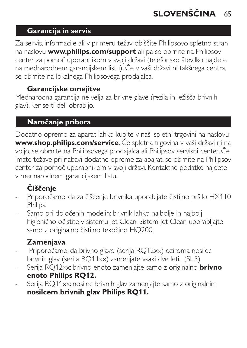#### **Garancija in servis**

Za servis, informacije ali v primeru težav obiščite Philipsovo spletno stran na naslovu **www.philips.com/support** ali pa se obrnite na Philipsov center za pomoč uporabnikom v svoji državi (telefonsko številko najdete na mednarodnem garancijskem listu). Če v vaši državi ni takšnega centra, se obrnite na lokalnega Philipsovega prodajalca.

### **Garancijske omejitve**

Mednarodna garancija ne velja za brivne glave (rezila in ležišča brivnih glav), ker se ti deli obrabijo.

## **Naročanje pribora**

Dodatno opremo za aparat lahko kupite v naši spletni trgovini na naslovu **www.shop.philips.com/service**. Če spletna trgovina v vaši državi ni na voljo, se obrnite na Philipsovega prodajalca ali Philipsov servisni center. Če imate težave pri nabavi dodatne opreme za aparat, se obrnite na Philipsov center za pomoč uporabnikom v svoji državi. Kontaktne podatke najdete v mednarodnem garancijskem listu.

# **Čiščenje**

- Priporočamo, da za čiščenje brivnika uporabljate čistilno pršilo HX110 Philips.
- Samo pri določenih modelih: brivnik lahko najbolje in najbolj higienično očistite v sistemu Jet Clean. Sistem Jet Clean uporabljajte samo z originalno čistilno tekočino HQ200.

## **Zamenjava**

- Priporočamo, da brivno glavo (serija RO12xx) oziroma nosilec brivnih glav (serija RQ11xx) zamenjate vsaki dve leti. (Sl. 5)
- Serija RQ12xx: brivno enoto zamenjajte samo z originalno **brivno enoto Philips RQ12.**
- Serija RQ11xx: nosilec brivnih glav zamenjajte samo z originalnim **nosilcem brivnih glav Philips RQ11.**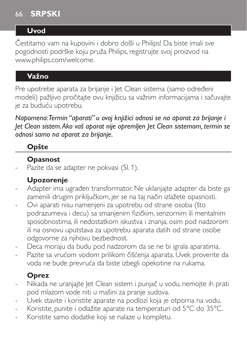## 66 **Srpski**

#### **Uvod**

Čestitamo vam na kupovini i dobro došli u Philips! Da biste imali sve pogodnosti podrške koju pruža Philips, registrujte svoj proizvod na www.philips.com/welcome.

#### **Važno**

Pre upotrebe aparata za brijanje i Jet Clean sistema (samo određeni modeli) pažljivo pročitajte ovu knjižicu sa važnim informacijama i sačuvajte je za buduću upotrebu.

*Napomena: Termin "aparati" u ovoj knjižici odnosi se na aparat za brijanje i Jet Clean sistem. Ako vaš aparat nije opremljen Jet Clean sistemom, termin se odnosi samo na aparat za brijanje.*

### **Opšte**

#### **Opasnost**

Pazite da se adapter ne pokvasi (Sl. 1).

### **Upozorenje**

- Adapter ima ugrađen transformator. Ne uklanjajte adapter da biste ga zamenili drugim priključkom, jer se na taj način izlažete opasnosti.
- Ovi aparati nisu namenjeni za upotrebu od strane osoba (što podrazumeva i decu) sa smanjenim fizičkim, senzornim ili mentalnim sposobnostima, ili nedostatkom iskustva i znanja, osim pod nadzorom ili na osnovu uputstava za upotrebu aparata datih od strane osobe odgovorne za njihovu bezbednost.
- Deca moraju da budu pod nadzorom da se ne bi igrala aparatima.
- Pazite sa vrućom vodom prilikom čišćenja aparata. Uvek proverite da voda ne bude prevruća da biste izbegli opekotine na rukama.

## **Oprez**

- Nikada ne uranjajte Jet Clean sistem i punjač u vodu, nemojte ih prati pod mlazom vode niti u mašini za pranje sudova.
- Uvek stavite i koristite aparate na podlozi koja je otporna na vodu.
- Koristite, punite i odlažite aparate na temperaturi od 5°C do 35°C.
- Koristite samo dodatke koji se nalaze u kompletu.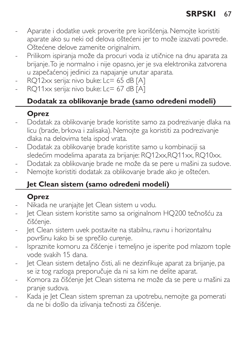- Aparate i dodatke uvek proverite pre korišćenja. Nemojte koristiti aparate ako su neki od delova oštećeni jer to može izazvati povrede. Oštećene delove zamenite originalnim.
- Prilikom ispiranja može da procuri voda iz utičnice na dnu aparata za brijanje. To je normalno i nije opasno, jer je sva elektronika zatvorena u zapečaćenoj jedinici za napajanje unutar aparata.
- RO12xx serija: nivo buke: Lc= 65 dB [A]
- RQ11xx serija: nivo buke: Lc= 67 dB [A]

### **Dodatak za oblikovanje brade (samo određeni modeli)**

## **Oprez**

- Dodatak za oblikovanje brade koristite samo za podrezivanje dlaka na licu (brade, brkova i zalisaka). Nemojte ga koristiti za podrezivanje dlaka na delovima tela ispod vrata.
- Dodatak za oblikovanje brade koristite samo u kombinaciji sa sledećim modelima aparata za brijanje: RQ12xx,RO11xx, RO10xx.
- Dodatak za oblikovanje brade ne može da se pere u mašini za sudove.
- Nemojte koristiti dodatak za oblikovanje brade ako je oštećen.

## **Jet Clean sistem (samo određeni modeli)**

## **Oprez**

- Nikada ne uranjajte Jet Clean sistem u vodu.
- Jet Clean sistem koristite samo sa originalnom HQ200 tečnošću za čišćenje.
- Jet Clean sistem uvek postavite na stabilnu, ravnu i horizontalnu površinu kako bi se sprečilo curenje.
- Ispraznite komoru za čišćenje i temeljno je isperite pod mlazom tople vode svakih 15 dana.
- Jet Clean sistem detaljno čisti, ali ne dezinfikuje aparat za brijanje, pa se iz tog razloga preporučuje da ni sa kim ne delite aparat.
- Komora za čišćenje Jet Clean sistema ne može da se pere u mašini za pranje sudova.
- Kada je Jet Clean sistem spreman za upotrebu, nemojte ga pomerati da ne bi došlo da izlivanja tečnosti za čišćenje.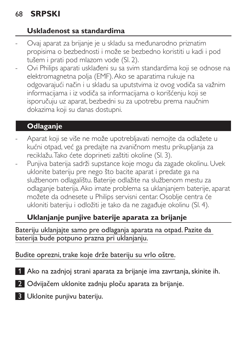### 68 **Srpski**

#### **Usklađenost sa standardima**

- Ovaj aparat za brijanje je u skladu sa međunarodno priznatim propisima o bezbednosti i može se bezbedno koristiti u kadi i pod tušem i prati pod mlazom vode (Sl. 2).
- Ovi Philips aparati usklađeni su sa svim standardima koji se odnose na elektromagnetna polja (EMF). Ako se aparatima rukuje na odgovarajući način i u skladu sa uputstvima iz ovog vodiča sa važnim informacijama i iz vodiča sa informacijama o korišćenju koji se isporučuju uz aparat, bezbedni su za upotrebu prema naučnim dokazima koji su danas dostupni.

### **Odlaganje**

- Aparat koji se više ne može upotrebljavati nemojte da odlažete u kućni otpad, već ga predajte na zvaničnom mestu prikupljanja za reciklažu. Tako ćete doprineti zaštiti okoline (Sl. 3).
- Punjiva baterija sadrži supstance koje mogu da zagade okolinu. Uvek uklonite bateriju pre nego što bacite aparat i predate ga na službenom odlagalištu. Baterije odlažite na službenom mestu za odlaganje baterija. Ako imate problema sa uklanjanjem baterije, aparat možete da odnesete u Philips servisni centar. Osoblje centra će ukloniti bateriju i odložiti je tako da ne zagađuje okolinu (Sl. 4).

## **Uklanjanje punjive baterije aparata za brijanje**

#### Bateriju uklanjajte samo pre odlaganja aparata na otpad. Pazite da baterija bude potpuno prazna pri uklanjanju.

#### Budite oprezni, trake koje drže bateriju su vrlo oštre.

- 1 Ako na zadnjoj strani aparata za brijanje ima zavrtanja, skinite ih.
- 2 Odvijačem uklonite zadnju ploču aparata za brijanje.
- 3 Uklonite punjivu bateriju.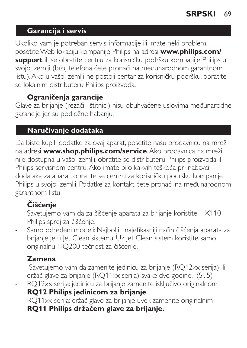#### **Garancija i servis**

Ukoliko vam je potreban servis, informacije ili imate neki problem, posetite Web lokaciju kompanije Philips na adresi **www.philips.com/ support** ili se obratite centru za korisničku podršku kompanije Philips u svojoj zemlji (broj telefona ćete pronaći na međunarodnom garantnom listu). Ako u vašoj zemlji ne postoji centar za korisničku podršku, obratite se lokalnim distributeru Philips proizvoda.

### **Ograničenja garancije**

Glave za brijanje (rezači i štitnici) nisu obuhvaćene uslovima međunarodne garancije jer su podložne habanju.

#### **Naručivanje dodataka**

Da biste kupili dodatke za ovaj aparat, posetite našu prodavnicu na mreži na adresi **www.shop.philips.com/service**. Ako prodavnica na mreži nije dostupna u vašoj zemlji, obratite se distributeru Philips proizvoda ili Philips servisnom centru. Ako imate bilo kakvih teškoća pri nabavci dodataka za aparat, obratite se centru za korisničku podršku kompanije Philips u svojoj zemlji. Podatke za kontakt ćete pronaći na međunarodnom garantnom listu.

## **Čišćenje**

- Savetujemo vam da za čišćenje aparata za brijanje koristite HX110 Philips sprej za čišćenje.
- Samo određeni modeli: Najbolji i najefikasniji način čišćenja aparata za brijanje je u Jet Clean sistemu. Uz Jet Clean sistem koristite samo originalnu HQ200 tečnost za čišćenje.

## **Zamena**

- Savetujemo vam da zamenite jedinicu za brijanje (RQ12xx serija) ili držač glave za brijanje (RQ11xx serija) svake dve godine. (Sl. 5)
- RQ12xx serija: jedinicu za brijanje zamenite isključivo originalnom **RQ12 Philips jedinicom za brijanje**.
- RQ11xx serija: držač glave za brijanje uvek zamenite originalnim **RQ11 Philips držačem glave za brijanje.**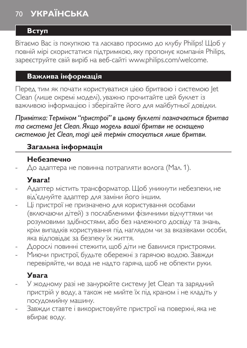## 70 **Українська**

#### **Вступ**

Вітаємо Вас із покупкою та ласкаво просимо до клубу Philips! Щоб у повній мірі скористатися підтримкою, яку пропонує компанія Philips, зареєструйте свій виріб на веб-сайті www.philips.com/welcome.

#### **Важлива інформація**

Перед тим як почати користуватися цією бритвою і системою Jet Clean (лише окремі моделі), уважно прочитайте цей буклет із важливою інформацією і зберігайте його для майбутньої довідки.

*Примітка: Терміном "пристрої" в цьому буклеті позначається бритва та система Jet Clean. Якщо модель вашої бритви не оснащено системою Jet Clean, тоді цей термін стосується лише бритви.*

#### **Загальна інформація**

### **Небезпечно**

До адаптера не повинна потрапляти волога (Мал. 1).

## **Увага!**

- Адаптер містить трансформатор. Щоб уникнути небезпеки, не від'єднуйте адаптер для заміни його іншим.
- Ці пристрої не призначено для користування особами (включаючи дітей) з послабленими фізичними відчуттями чи розумовими здібностями, або без належного досвіду та знань, крім випадків користування під наглядом чи за вказівками особи, яка відповідає за безпеку їх життя.
- Дорослі повинні стежити, щоб діти не бавилися пристроями.
- Миючи пристрої, будьте обережні з гарячою водою. Завжди перевіряйте, чи вода не надто гаряча, щоб не обпекти руки.

## **Увага**

- У жодному разі не занурюйте систему Jet Clean та зарядний пристрій у воду, а також не мийте їх під краном і не кладіть у посудомийну машину.
- Завжди ставте і використовуйте пристрої на поверхні, яка не вбирає воду.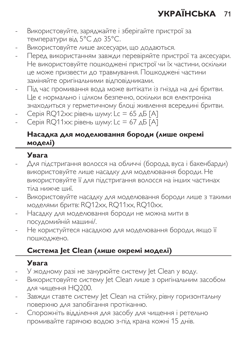# **Українська** 71

- Використовуйте, заряджайте і зберігайте пристрої за температури від 5°C до 35°C.
- Використовуйте лише аксесуари, що додаються.
- Перед використанням завжди перевіряйте пристрої та аксесуари. Не використовуйте пошкоджені пристрої чи їх частини, оскільки це може призвести до травмування. Пошкоджені частини заміняйте оригінальними відповідниками.
- Під час промивання вода може витікати із гнізда на дні бритви. Це є нормально і цілком безпечно, оскільки вся електроніка знаходиться у герметичному блоці живлення всередині бритви.
- $C$ ерія RO12xx: рівень шуму: Lc = 65 дБ [A]
- $C$ ерія RQ11xx: рівень шуму: Lc = 67 дБ [A]

#### **Насадка для моделювання бороди (лише окремі моделі)**

#### **Увага**

- Для підстригання волосся на обличчі (борода, вуса і бакенбарди) використовуйте лише насадку для моделювання бороди. Не використовуйте її для підстригання волосся на інших частинах тіла нижче шиї.
- Використовуйте насадку для моделювання бороди лише з такими моделями бритв: RQ12xx, RQ11xx, RQ10xx.
- Насадку для моделювання бороди не можна мити в посудомийній машині/.
- Не користуйтеся насадкою для моделювання бороди, якщо її пошкоджено.

### **Система Jet Clean (лише окремі моделі)**

## **Увага**

- У жодному разі не занурюйте систему let Clean у воду.
- Використовуйте систему let Clean лише з оригінальним засобом для чищення HQ200.
- Завжди ставте систему Jet Clean на стійку, рівну горизонтальну поверхню для запобігання протіканню.
- Спорожніть відділення для засобу для чищення і ретельно промивайте гарячою водою з-під крана кожні 15 днів.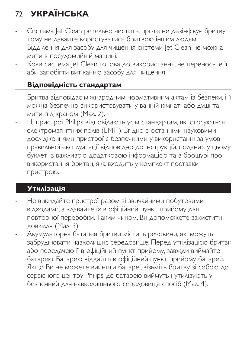# 72 **Українська**

- Система let Clean ретельно чистить, проте не дезінфікує бритву. тому не давайте користуватися бритвою іншим людям.
- Відділення для засобу для чищення системи Jet Clean не можна мити в посудомийній машині.
- Коли система Jet Clean готова до використання, не переносьте її, аби запобігти витіканню засобу для чищення.

#### **Відповідність стандартам**

- Бритва відповідає міжнародним нормативним актам із безпеки, і її можна безпечно використовувати у ванній кімнаті або душі та мити під краном (Мал. 2).
- Ці пристрої Philips відповідають усім стандартам, які стосуються електромагнітних полів (ЕМП). Згідно з останніми науковими дослідженнями пристрої є безпечними у використанні за умов правильної експлуатації відповідно до інструкцій, поданих у цьому буклеті з важливою додатковою інформацією та в брошурі про використання бритви, яка входить у комплект поставки пристрою.

#### **Утилізація**

- Не викидайте пристрої разом зі звичайними побутовими відходами, а здавайте їх в офіційний пункт прийому для повторної переробки. Таким чином, Ви допоможете захистити довкілля (Мал. 3).
- Акумуляторна батарея бритви містить речовини, які можуть забруднювати навколишнє середовище. Перед утилізацією бритви або передачею її в офіційний пункт прийому, завжди виймайте батарею. Батарею віддайте в офіційний пункт прийому батарей. Якщо Ви не можете вийняти батареї, візьміть бритву зі собою до сервісного центру Philips, де батарею виймуть і утилізують у безпечний для навколишнього середовища спосіб (Мал. 4).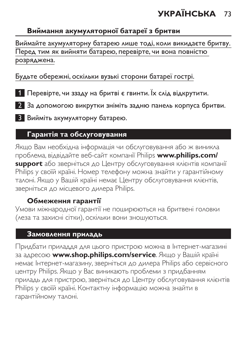# **Українська** 73

## **Виймання акумуляторної батареї з бритви**

Виймайте акумуляторну батарею лише тоді, коли викидаєте бритву. Перед тим як вийняти батарею, перевірте, чи вона повністю розряджена.

Будьте обережні, оскільки вузькі сторони батареї гострі.

- 1 Перевірте, чи ззаду на бритві є гвинти. Їх слід відкрутити.
- 2 За допомогою викрутки зніміть задню панель корпуса бритви.
- 3 Вийміть акумуляторну батарею.

# **Гарантія та обслуговування**

Якщо Вам необхідна інформація чи обслуговування або ж виникла проблема, відвідайте веб-сайт компанії Philips **www.philips.com/ support** або зверніться до Центру обслуговування клієнтів компанії Philips у своїй країні. Номер телефону можна знайти у гарантійному талоні. Якщо у Вашій країні немає Центру обслуговування клієнтів, зверніться до місцевого дилера Philips.

### **Обмеження гарантії**

Умови міжнародної гарантії не поширюються на бритвені головки (леза та захисні сітки), оскільки вони зношуються.

#### **Замовлення приладь**

Придбати приладдя для цього пристрою можна в Інтернет-магазині за адресою **www.shop.philips.com/service**. Якщо у Вашій країні немає Інтернет-магазину, зверніться до дилера Philips або сервісного центру Philips. Якщо у Вас виникають проблеми з придбанням приладь для пристрою, зверніться до Центру обслуговування клієнтів Philips у своїй країні. Контактну інформацію можна знайти в гарантійному талоні.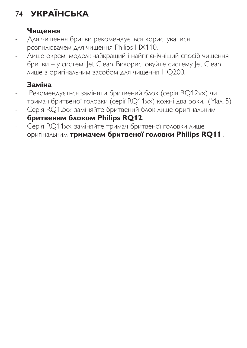# 74 **Українська**

## **Чищення**

- Для чищення бритви рекомендується користуватися розпилювачем для чищення Philips HX110.
- Лише окремі моделі: найкращий і найгігієнічніший спосіб чищення бритви – у системі Jet Clean. Використовуйте систему Jet Clean лише з оригінальним засобом для чищення HQ200.

# **Заміна**

- Рекомендується заміняти бритвений блок (серія RQ12xx) чи тримач бритвеної головки (серії RQ11xx) кожні два роки. (Мал. 5)
- Серія RQ12xx: заміняйте бритвений блок лише оригінальним **бритвеним блоком Philips RQ12**.
- Серія RQ11xx: заміняйте тримач бритвеної головки лише оригінальним **тримачем бритвеної головки Philips RQ11** .